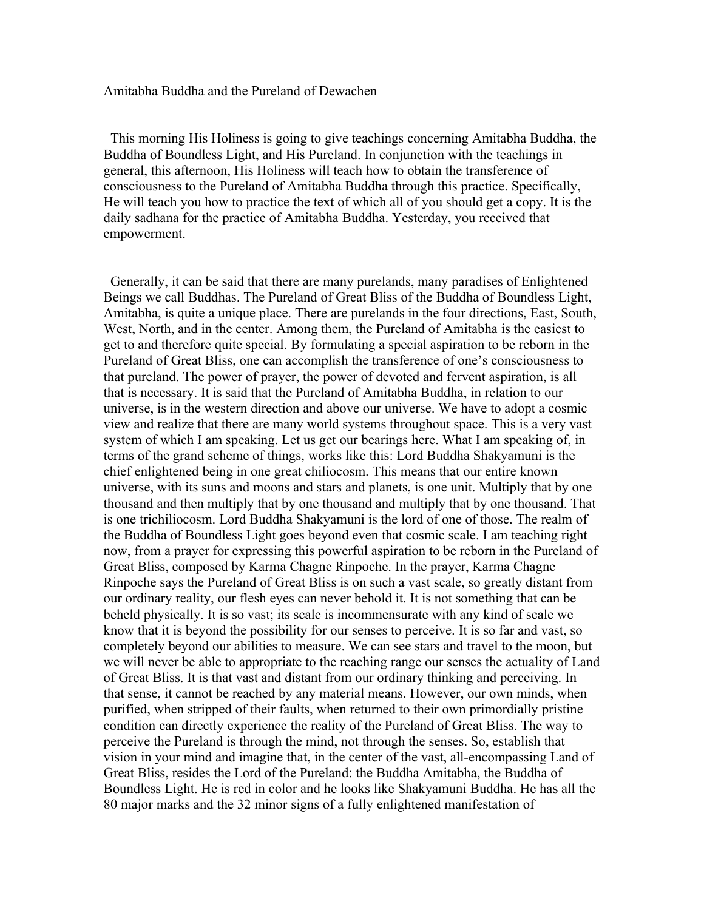# Amitabha Buddha and the Pureland of Dewachen

 This morning His Holiness is going to give teachings concerning Amitabha Buddha, the Buddha of Boundless Light, and His Pureland. In conjunction with the teachings in general, this afternoon, His Holiness will teach how to obtain the transference of consciousness to the Pureland of Amitabha Buddha through this practice. Specifically, He will teach you how to practice the text of which all of you should get a copy. It is the daily sadhana for the practice of Amitabha Buddha. Yesterday, you received that empowerment.

 Generally, it can be said that there are many purelands, many paradises of Enlightened Beings we call Buddhas. The Pureland of Great Bliss of the Buddha of Boundless Light, Amitabha, is quite a unique place. There are purelands in the four directions, East, South, West, North, and in the center. Among them, the Pureland of Amitabha is the easiest to get to and therefore quite special. By formulating a special aspiration to be reborn in the Pureland of Great Bliss, one can accomplish the transference of one's consciousness to that pureland. The power of prayer, the power of devoted and fervent aspiration, is all that is necessary. It is said that the Pureland of Amitabha Buddha, in relation to our universe, is in the western direction and above our universe. We have to adopt a cosmic view and realize that there are many world systems throughout space. This is a very vast system of which I am speaking. Let us get our bearings here. What I am speaking of, in terms of the grand scheme of things, works like this: Lord Buddha Shakyamuni is the chief enlightened being in one great chiliocosm. This means that our entire known universe, with its suns and moons and stars and planets, is one unit. Multiply that by one thousand and then multiply that by one thousand and multiply that by one thousand. That is one trichiliocosm. Lord Buddha Shakyamuni is the lord of one of those. The realm of the Buddha of Boundless Light goes beyond even that cosmic scale. I am teaching right now, from a prayer for expressing this powerful aspiration to be reborn in the Pureland of Great Bliss, composed by Karma Chagne Rinpoche. In the prayer, Karma Chagne Rinpoche says the Pureland of Great Bliss is on such a vast scale, so greatly distant from our ordinary reality, our flesh eyes can never behold it. It is not something that can be beheld physically. It is so vast; its scale is incommensurate with any kind of scale we know that it is beyond the possibility for our senses to perceive. It is so far and vast, so completely beyond our abilities to measure. We can see stars and travel to the moon, but we will never be able to appropriate to the reaching range our senses the actuality of Land of Great Bliss. It is that vast and distant from our ordinary thinking and perceiving. In that sense, it cannot be reached by any material means. However, our own minds, when purified, when stripped of their faults, when returned to their own primordially pristine condition can directly experience the reality of the Pureland of Great Bliss. The way to perceive the Pureland is through the mind, not through the senses. So, establish that vision in your mind and imagine that, in the center of the vast, all-encompassing Land of Great Bliss, resides the Lord of the Pureland: the Buddha Amitabha, the Buddha of Boundless Light. He is red in color and he looks like Shakyamuni Buddha. He has all the 80 major marks and the 32 minor signs of a fully enlightened manifestation of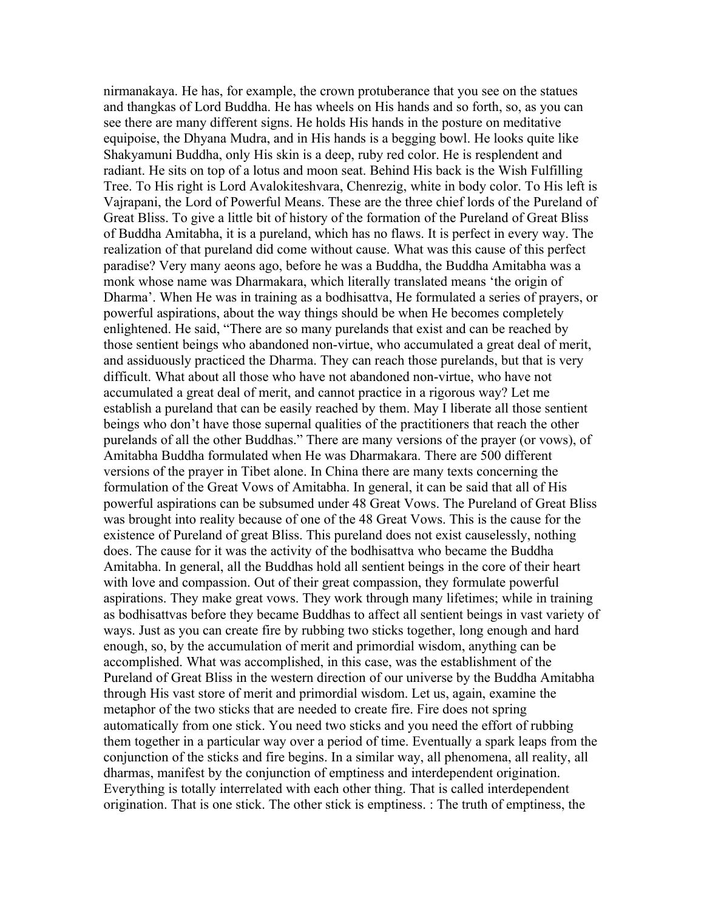nirmanakaya. He has, for example, the crown protuberance that you see on the statues and thangkas of Lord Buddha. He has wheels on His hands and so forth, so, as you can see there are many different signs. He holds His hands in the posture on meditative equipoise, the Dhyana Mudra, and in His hands is a begging bowl. He looks quite like Shakyamuni Buddha, only His skin is a deep, ruby red color. He is resplendent and radiant. He sits on top of a lotus and moon seat. Behind His back is the Wish Fulfilling Tree. To His right is Lord Avalokiteshvara, Chenrezig, white in body color. To His left is Vajrapani, the Lord of Powerful Means. These are the three chief lords of the Pureland of Great Bliss. To give a little bit of history of the formation of the Pureland of Great Bliss of Buddha Amitabha, it is a pureland, which has no flaws. It is perfect in every way. The realization of that pureland did come without cause. What was this cause of this perfect paradise? Very many aeons ago, before he was a Buddha, the Buddha Amitabha was a monk whose name was Dharmakara, which literally translated means 'the origin of Dharma'. When He was in training as a bodhisattva, He formulated a series of prayers, or powerful aspirations, about the way things should be when He becomes completely enlightened. He said, "There are so many purelands that exist and can be reached by those sentient beings who abandoned non-virtue, who accumulated a great deal of merit, and assiduously practiced the Dharma. They can reach those purelands, but that is very difficult. What about all those who have not abandoned non-virtue, who have not accumulated a great deal of merit, and cannot practice in a rigorous way? Let me establish a pureland that can be easily reached by them. May I liberate all those sentient beings who don't have those supernal qualities of the practitioners that reach the other purelands of all the other Buddhas." There are many versions of the prayer (or vows), of Amitabha Buddha formulated when He was Dharmakara. There are 500 different versions of the prayer in Tibet alone. In China there are many texts concerning the formulation of the Great Vows of Amitabha. In general, it can be said that all of His powerful aspirations can be subsumed under 48 Great Vows. The Pureland of Great Bliss was brought into reality because of one of the 48 Great Vows. This is the cause for the existence of Pureland of great Bliss. This pureland does not exist causelessly, nothing does. The cause for it was the activity of the bodhisattva who became the Buddha Amitabha. In general, all the Buddhas hold all sentient beings in the core of their heart with love and compassion. Out of their great compassion, they formulate powerful aspirations. They make great vows. They work through many lifetimes; while in training as bodhisattvas before they became Buddhas to affect all sentient beings in vast variety of ways. Just as you can create fire by rubbing two sticks together, long enough and hard enough, so, by the accumulation of merit and primordial wisdom, anything can be accomplished. What was accomplished, in this case, was the establishment of the Pureland of Great Bliss in the western direction of our universe by the Buddha Amitabha through His vast store of merit and primordial wisdom. Let us, again, examine the metaphor of the two sticks that are needed to create fire. Fire does not spring automatically from one stick. You need two sticks and you need the effort of rubbing them together in a particular way over a period of time. Eventually a spark leaps from the conjunction of the sticks and fire begins. In a similar way, all phenomena, all reality, all dharmas, manifest by the conjunction of emptiness and interdependent origination. Everything is totally interrelated with each other thing. That is called interdependent origination. That is one stick. The other stick is emptiness. : The truth of emptiness, the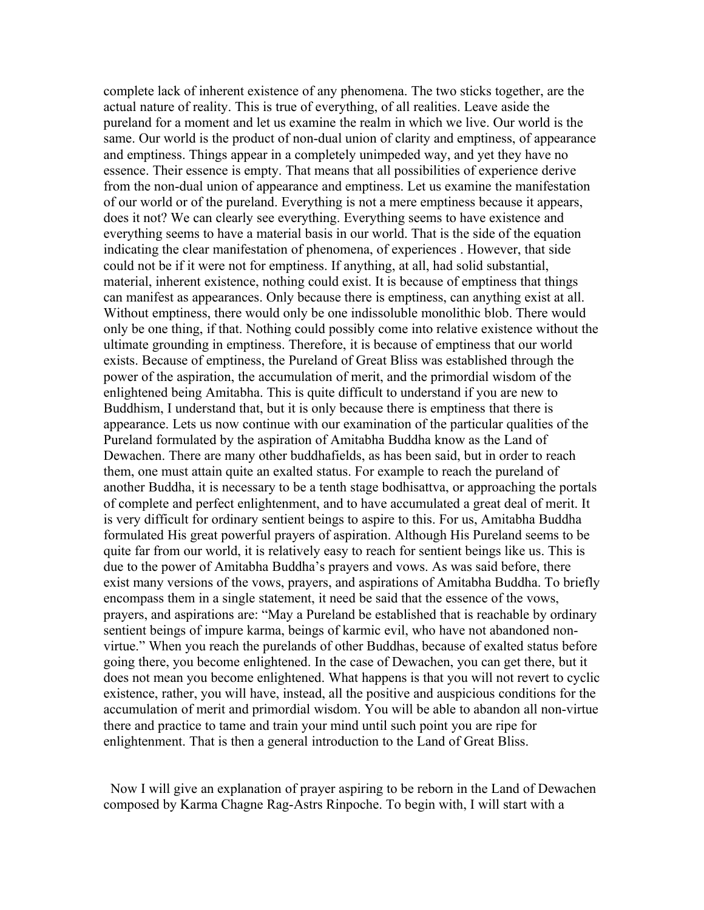complete lack of inherent existence of any phenomena. The two sticks together, are the actual nature of reality. This is true of everything, of all realities. Leave aside the pureland for a moment and let us examine the realm in which we live. Our world is the same. Our world is the product of non-dual union of clarity and emptiness, of appearance and emptiness. Things appear in a completely unimpeded way, and yet they have no essence. Their essence is empty. That means that all possibilities of experience derive from the non-dual union of appearance and emptiness. Let us examine the manifestation of our world or of the pureland. Everything is not a mere emptiness because it appears, does it not? We can clearly see everything. Everything seems to have existence and everything seems to have a material basis in our world. That is the side of the equation indicating the clear manifestation of phenomena, of experiences . However, that side could not be if it were not for emptiness. If anything, at all, had solid substantial, material, inherent existence, nothing could exist. It is because of emptiness that things can manifest as appearances. Only because there is emptiness, can anything exist at all. Without emptiness, there would only be one indissoluble monolithic blob. There would only be one thing, if that. Nothing could possibly come into relative existence without the ultimate grounding in emptiness. Therefore, it is because of emptiness that our world exists. Because of emptiness, the Pureland of Great Bliss was established through the power of the aspiration, the accumulation of merit, and the primordial wisdom of the enlightened being Amitabha. This is quite difficult to understand if you are new to Buddhism, I understand that, but it is only because there is emptiness that there is appearance. Lets us now continue with our examination of the particular qualities of the Pureland formulated by the aspiration of Amitabha Buddha know as the Land of Dewachen. There are many other buddhafields, as has been said, but in order to reach them, one must attain quite an exalted status. For example to reach the pureland of another Buddha, it is necessary to be a tenth stage bodhisattva, or approaching the portals of complete and perfect enlightenment, and to have accumulated a great deal of merit. It is very difficult for ordinary sentient beings to aspire to this. For us, Amitabha Buddha formulated His great powerful prayers of aspiration. Although His Pureland seems to be quite far from our world, it is relatively easy to reach for sentient beings like us. This is due to the power of Amitabha Buddha's prayers and vows. As was said before, there exist many versions of the vows, prayers, and aspirations of Amitabha Buddha. To briefly encompass them in a single statement, it need be said that the essence of the vows, prayers, and aspirations are: "May a Pureland be established that is reachable by ordinary sentient beings of impure karma, beings of karmic evil, who have not abandoned nonvirtue." When you reach the purelands of other Buddhas, because of exalted status before going there, you become enlightened. In the case of Dewachen, you can get there, but it does not mean you become enlightened. What happens is that you will not revert to cyclic existence, rather, you will have, instead, all the positive and auspicious conditions for the accumulation of merit and primordial wisdom. You will be able to abandon all non-virtue there and practice to tame and train your mind until such point you are ripe for enlightenment. That is then a general introduction to the Land of Great Bliss.

 Now I will give an explanation of prayer aspiring to be reborn in the Land of Dewachen composed by Karma Chagne Rag-Astrs Rinpoche. To begin with, I will start with a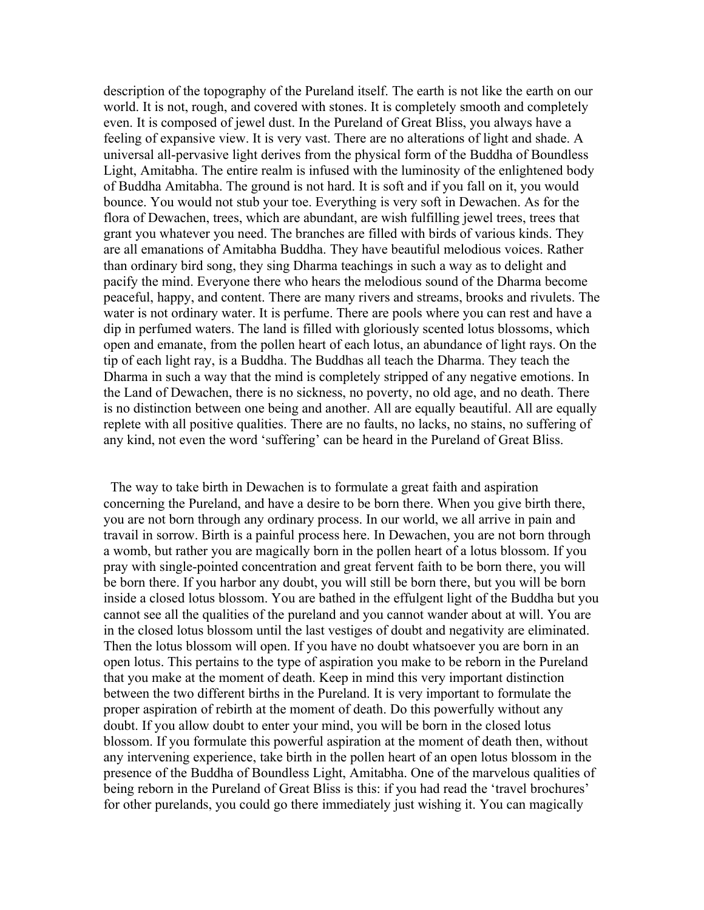description of the topography of the Pureland itself. The earth is not like the earth on our world. It is not, rough, and covered with stones. It is completely smooth and completely even. It is composed of jewel dust. In the Pureland of Great Bliss, you always have a feeling of expansive view. It is very vast. There are no alterations of light and shade. A universal all-pervasive light derives from the physical form of the Buddha of Boundless Light, Amitabha. The entire realm is infused with the luminosity of the enlightened body of Buddha Amitabha. The ground is not hard. It is soft and if you fall on it, you would bounce. You would not stub your toe. Everything is very soft in Dewachen. As for the flora of Dewachen, trees, which are abundant, are wish fulfilling jewel trees, trees that grant you whatever you need. The branches are filled with birds of various kinds. They are all emanations of Amitabha Buddha. They have beautiful melodious voices. Rather than ordinary bird song, they sing Dharma teachings in such a way as to delight and pacify the mind. Everyone there who hears the melodious sound of the Dharma become peaceful, happy, and content. There are many rivers and streams, brooks and rivulets. The water is not ordinary water. It is perfume. There are pools where you can rest and have a dip in perfumed waters. The land is filled with gloriously scented lotus blossoms, which open and emanate, from the pollen heart of each lotus, an abundance of light rays. On the tip of each light ray, is a Buddha. The Buddhas all teach the Dharma. They teach the Dharma in such a way that the mind is completely stripped of any negative emotions. In the Land of Dewachen, there is no sickness, no poverty, no old age, and no death. There is no distinction between one being and another. All are equally beautiful. All are equally replete with all positive qualities. There are no faults, no lacks, no stains, no suffering of any kind, not even the word 'suffering' can be heard in the Pureland of Great Bliss.

 The way to take birth in Dewachen is to formulate a great faith and aspiration concerning the Pureland, and have a desire to be born there. When you give birth there, you are not born through any ordinary process. In our world, we all arrive in pain and travail in sorrow. Birth is a painful process here. In Dewachen, you are not born through a womb, but rather you are magically born in the pollen heart of a lotus blossom. If you pray with single-pointed concentration and great fervent faith to be born there, you will be born there. If you harbor any doubt, you will still be born there, but you will be born inside a closed lotus blossom. You are bathed in the effulgent light of the Buddha but you cannot see all the qualities of the pureland and you cannot wander about at will. You are in the closed lotus blossom until the last vestiges of doubt and negativity are eliminated. Then the lotus blossom will open. If you have no doubt whatsoever you are born in an open lotus. This pertains to the type of aspiration you make to be reborn in the Pureland that you make at the moment of death. Keep in mind this very important distinction between the two different births in the Pureland. It is very important to formulate the proper aspiration of rebirth at the moment of death. Do this powerfully without any doubt. If you allow doubt to enter your mind, you will be born in the closed lotus blossom. If you formulate this powerful aspiration at the moment of death then, without any intervening experience, take birth in the pollen heart of an open lotus blossom in the presence of the Buddha of Boundless Light, Amitabha. One of the marvelous qualities of being reborn in the Pureland of Great Bliss is this: if you had read the 'travel brochures' for other purelands, you could go there immediately just wishing it. You can magically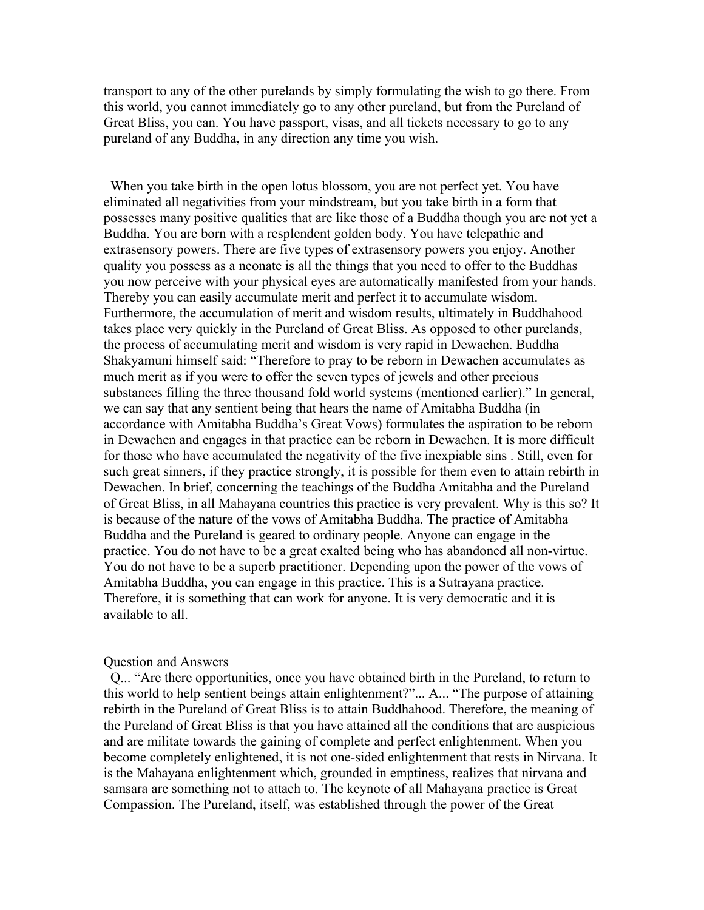transport to any of the other purelands by simply formulating the wish to go there. From this world, you cannot immediately go to any other pureland, but from the Pureland of Great Bliss, you can. You have passport, visas, and all tickets necessary to go to any pureland of any Buddha, in any direction any time you wish.

 When you take birth in the open lotus blossom, you are not perfect yet. You have eliminated all negativities from your mindstream, but you take birth in a form that possesses many positive qualities that are like those of a Buddha though you are not yet a Buddha. You are born with a resplendent golden body. You have telepathic and extrasensory powers. There are five types of extrasensory powers you enjoy. Another quality you possess as a neonate is all the things that you need to offer to the Buddhas you now perceive with your physical eyes are automatically manifested from your hands. Thereby you can easily accumulate merit and perfect it to accumulate wisdom. Furthermore, the accumulation of merit and wisdom results, ultimately in Buddhahood takes place very quickly in the Pureland of Great Bliss. As opposed to other purelands, the process of accumulating merit and wisdom is very rapid in Dewachen. Buddha Shakyamuni himself said: "Therefore to pray to be reborn in Dewachen accumulates as much merit as if you were to offer the seven types of jewels and other precious substances filling the three thousand fold world systems (mentioned earlier)." In general, we can say that any sentient being that hears the name of Amitabha Buddha (in accordance with Amitabha Buddha's Great Vows) formulates the aspiration to be reborn in Dewachen and engages in that practice can be reborn in Dewachen. It is more difficult for those who have accumulated the negativity of the five inexpiable sins . Still, even for such great sinners, if they practice strongly, it is possible for them even to attain rebirth in Dewachen. In brief, concerning the teachings of the Buddha Amitabha and the Pureland of Great Bliss, in all Mahayana countries this practice is very prevalent. Why is this so? It is because of the nature of the vows of Amitabha Buddha. The practice of Amitabha Buddha and the Pureland is geared to ordinary people. Anyone can engage in the practice. You do not have to be a great exalted being who has abandoned all non-virtue. You do not have to be a superb practitioner. Depending upon the power of the vows of Amitabha Buddha, you can engage in this practice. This is a Sutrayana practice. Therefore, it is something that can work for anyone. It is very democratic and it is available to all.

#### Question and Answers

 Q... "Are there opportunities, once you have obtained birth in the Pureland, to return to this world to help sentient beings attain enlightenment?"... A... "The purpose of attaining rebirth in the Pureland of Great Bliss is to attain Buddhahood. Therefore, the meaning of the Pureland of Great Bliss is that you have attained all the conditions that are auspicious and are militate towards the gaining of complete and perfect enlightenment. When you become completely enlightened, it is not one-sided enlightenment that rests in Nirvana. It is the Mahayana enlightenment which, grounded in emptiness, realizes that nirvana and samsara are something not to attach to. The keynote of all Mahayana practice is Great Compassion. The Pureland, itself, was established through the power of the Great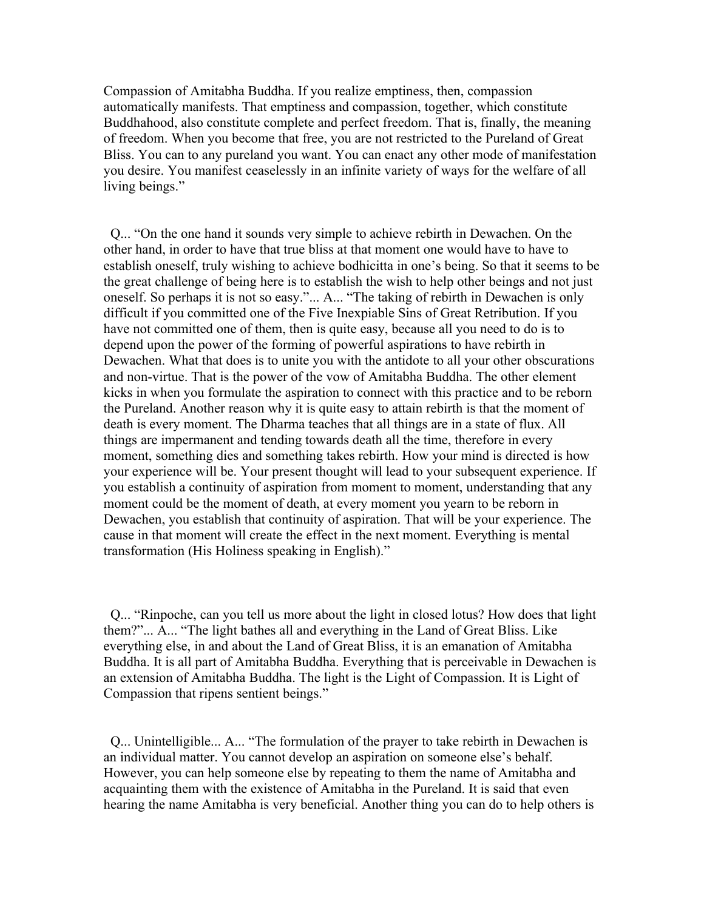Compassion of Amitabha Buddha. If you realize emptiness, then, compassion automatically manifests. That emptiness and compassion, together, which constitute Buddhahood, also constitute complete and perfect freedom. That is, finally, the meaning of freedom. When you become that free, you are not restricted to the Pureland of Great Bliss. You can to any pureland you want. You can enact any other mode of manifestation you desire. You manifest ceaselessly in an infinite variety of ways for the welfare of all living beings."

 Q... "On the one hand it sounds very simple to achieve rebirth in Dewachen. On the other hand, in order to have that true bliss at that moment one would have to have to establish oneself, truly wishing to achieve bodhicitta in one's being. So that it seems to be the great challenge of being here is to establish the wish to help other beings and not just oneself. So perhaps it is not so easy."... A... "The taking of rebirth in Dewachen is only difficult if you committed one of the Five Inexpiable Sins of Great Retribution. If you have not committed one of them, then is quite easy, because all you need to do is to depend upon the power of the forming of powerful aspirations to have rebirth in Dewachen. What that does is to unite you with the antidote to all your other obscurations and non-virtue. That is the power of the vow of Amitabha Buddha. The other element kicks in when you formulate the aspiration to connect with this practice and to be reborn the Pureland. Another reason why it is quite easy to attain rebirth is that the moment of death is every moment. The Dharma teaches that all things are in a state of flux. All things are impermanent and tending towards death all the time, therefore in every moment, something dies and something takes rebirth. How your mind is directed is how your experience will be. Your present thought will lead to your subsequent experience. If you establish a continuity of aspiration from moment to moment, understanding that any moment could be the moment of death, at every moment you yearn to be reborn in Dewachen, you establish that continuity of aspiration. That will be your experience. The cause in that moment will create the effect in the next moment. Everything is mental transformation (His Holiness speaking in English)."

 Q... "Rinpoche, can you tell us more about the light in closed lotus? How does that light them?"... A... "The light bathes all and everything in the Land of Great Bliss. Like everything else, in and about the Land of Great Bliss, it is an emanation of Amitabha Buddha. It is all part of Amitabha Buddha. Everything that is perceivable in Dewachen is an extension of Amitabha Buddha. The light is the Light of Compassion. It is Light of Compassion that ripens sentient beings."

 Q... Unintelligible... A... "The formulation of the prayer to take rebirth in Dewachen is an individual matter. You cannot develop an aspiration on someone else's behalf. However, you can help someone else by repeating to them the name of Amitabha and acquainting them with the existence of Amitabha in the Pureland. It is said that even hearing the name Amitabha is very beneficial. Another thing you can do to help others is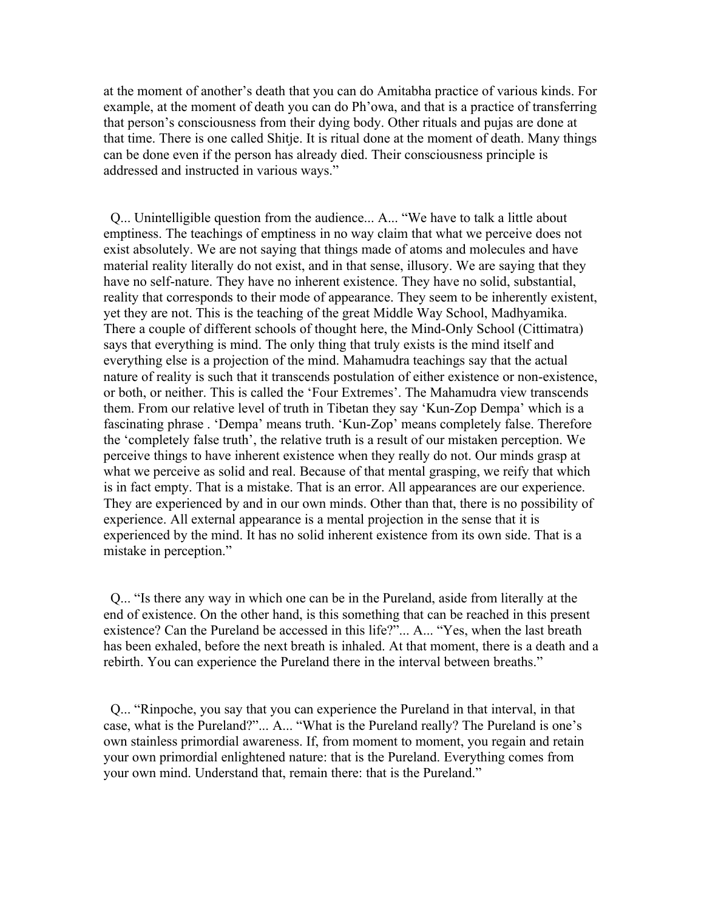at the moment of another's death that you can do Amitabha practice of various kinds. For example, at the moment of death you can do Ph'owa, and that is a practice of transferring that person's consciousness from their dying body. Other rituals and pujas are done at that time. There is one called Shitje. It is ritual done at the moment of death. Many things can be done even if the person has already died. Their consciousness principle is addressed and instructed in various ways."

 Q... Unintelligible question from the audience... A... "We have to talk a little about emptiness. The teachings of emptiness in no way claim that what we perceive does not exist absolutely. We are not saying that things made of atoms and molecules and have material reality literally do not exist, and in that sense, illusory. We are saying that they have no self-nature. They have no inherent existence. They have no solid, substantial, reality that corresponds to their mode of appearance. They seem to be inherently existent, yet they are not. This is the teaching of the great Middle Way School, Madhyamika. There a couple of different schools of thought here, the Mind-Only School (Cittimatra) says that everything is mind. The only thing that truly exists is the mind itself and everything else is a projection of the mind. Mahamudra teachings say that the actual nature of reality is such that it transcends postulation of either existence or non-existence, or both, or neither. This is called the 'Four Extremes'. The Mahamudra view transcends them. From our relative level of truth in Tibetan they say 'Kun-Zop Dempa' which is a fascinating phrase . 'Dempa' means truth. 'Kun-Zop' means completely false. Therefore the 'completely false truth', the relative truth is a result of our mistaken perception. We perceive things to have inherent existence when they really do not. Our minds grasp at what we perceive as solid and real. Because of that mental grasping, we reify that which is in fact empty. That is a mistake. That is an error. All appearances are our experience. They are experienced by and in our own minds. Other than that, there is no possibility of experience. All external appearance is a mental projection in the sense that it is experienced by the mind. It has no solid inherent existence from its own side. That is a mistake in perception."

 Q... "Is there any way in which one can be in the Pureland, aside from literally at the end of existence. On the other hand, is this something that can be reached in this present existence? Can the Pureland be accessed in this life?"... A... "Yes, when the last breath has been exhaled, before the next breath is inhaled. At that moment, there is a death and a rebirth. You can experience the Pureland there in the interval between breaths."

 Q... "Rinpoche, you say that you can experience the Pureland in that interval, in that case, what is the Pureland?"... A... "What is the Pureland really? The Pureland is one's own stainless primordial awareness. If, from moment to moment, you regain and retain your own primordial enlightened nature: that is the Pureland. Everything comes from your own mind. Understand that, remain there: that is the Pureland."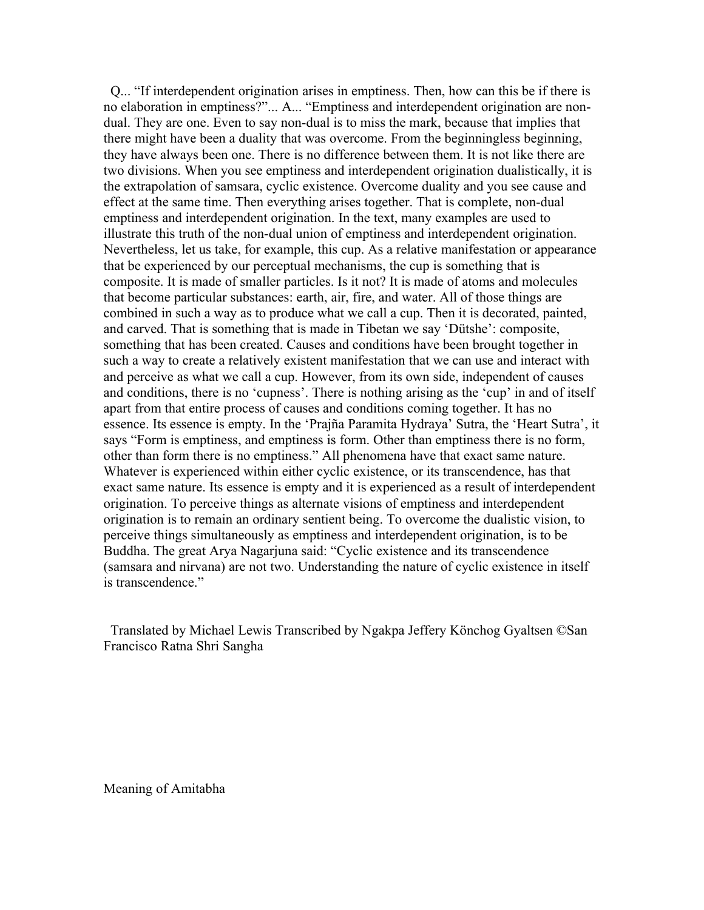Q... "If interdependent origination arises in emptiness. Then, how can this be if there is no elaboration in emptiness?"... A... "Emptiness and interdependent origination are nondual. They are one. Even to say non-dual is to miss the mark, because that implies that there might have been a duality that was overcome. From the beginningless beginning, they have always been one. There is no difference between them. It is not like there are two divisions. When you see emptiness and interdependent origination dualistically, it is the extrapolation of samsara, cyclic existence. Overcome duality and you see cause and effect at the same time. Then everything arises together. That is complete, non-dual emptiness and interdependent origination. In the text, many examples are used to illustrate this truth of the non-dual union of emptiness and interdependent origination. Nevertheless, let us take, for example, this cup. As a relative manifestation or appearance that be experienced by our perceptual mechanisms, the cup is something that is composite. It is made of smaller particles. Is it not? It is made of atoms and molecules that become particular substances: earth, air, fire, and water. All of those things are combined in such a way as to produce what we call a cup. Then it is decorated, painted, and carved. That is something that is made in Tibetan we say 'Dütshe': composite, something that has been created. Causes and conditions have been brought together in such a way to create a relatively existent manifestation that we can use and interact with and perceive as what we call a cup. However, from its own side, independent of causes and conditions, there is no 'cupness'. There is nothing arising as the 'cup' in and of itself apart from that entire process of causes and conditions coming together. It has no essence. Its essence is empty. In the 'Prajña Paramita Hydraya' Sutra, the 'Heart Sutra', it says "Form is emptiness, and emptiness is form. Other than emptiness there is no form, other than form there is no emptiness." All phenomena have that exact same nature. Whatever is experienced within either cyclic existence, or its transcendence, has that exact same nature. Its essence is empty and it is experienced as a result of interdependent origination. To perceive things as alternate visions of emptiness and interdependent origination is to remain an ordinary sentient being. To overcome the dualistic vision, to perceive things simultaneously as emptiness and interdependent origination, is to be Buddha. The great Arya Nagarjuna said: "Cyclic existence and its transcendence (samsara and nirvana) are not two. Understanding the nature of cyclic existence in itself is transcendence."

 Translated by Michael Lewis Transcribed by Ngakpa Jeffery Könchog Gyaltsen ©San Francisco Ratna Shri Sangha

Meaning of Amitabha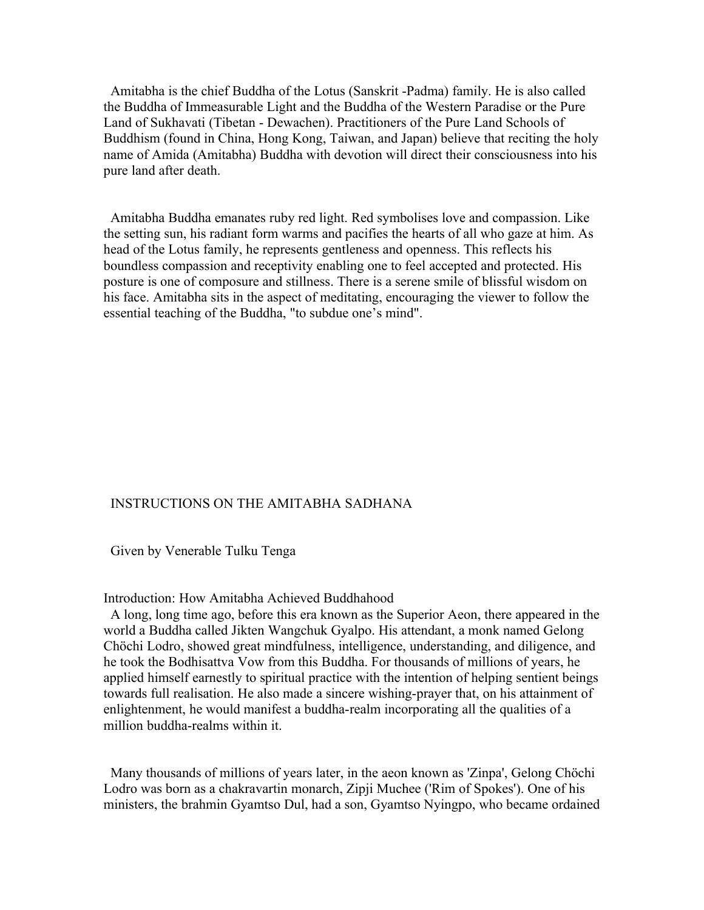Amitabha is the chief Buddha of the Lotus (Sanskrit -Padma) family. He is also called the Buddha of Immeasurable Light and the Buddha of the Western Paradise or the Pure Land of Sukhavati (Tibetan - Dewachen). Practitioners of the Pure Land Schools of Buddhism (found in China, Hong Kong, Taiwan, and Japan) believe that reciting the holy name of Amida (Amitabha) Buddha with devotion will direct their consciousness into his pure land after death.

 Amitabha Buddha emanates ruby red light. Red symbolises love and compassion. Like the setting sun, his radiant form warms and pacifies the hearts of all who gaze at him. As head of the Lotus family, he represents gentleness and openness. This reflects his boundless compassion and receptivity enabling one to feel accepted and protected. His posture is one of composure and stillness. There is a serene smile of blissful wisdom on his face. Amitabha sits in the aspect of meditating, encouraging the viewer to follow the essential teaching of the Buddha, "to subdue one's mind".

## INSTRUCTIONS ON THE AMITABHA SADHANA

Given by Venerable Tulku Tenga

## Introduction: How Amitabha Achieved Buddhahood

 A long, long time ago, before this era known as the Superior Aeon, there appeared in the world a Buddha called Jikten Wangchuk Gyalpo. His attendant, a monk named Gelong Chöchi Lodro, showed great mindfulness, intelligence, understanding, and diligence, and he took the Bodhisattva Vow from this Buddha. For thousands of millions of years, he applied himself earnestly to spiritual practice with the intention of helping sentient beings towards full realisation. He also made a sincere wishing-prayer that, on his attainment of enlightenment, he would manifest a buddha-realm incorporating all the qualities of a million buddha-realms within it.

 Many thousands of millions of years later, in the aeon known as 'Zinpa', Gelong Chöchi Lodro was born as a chakravartin monarch, Zipji Muchee ('Rim of Spokes'). One of his ministers, the brahmin Gyamtso Dul, had a son, Gyamtso Nyingpo, who became ordained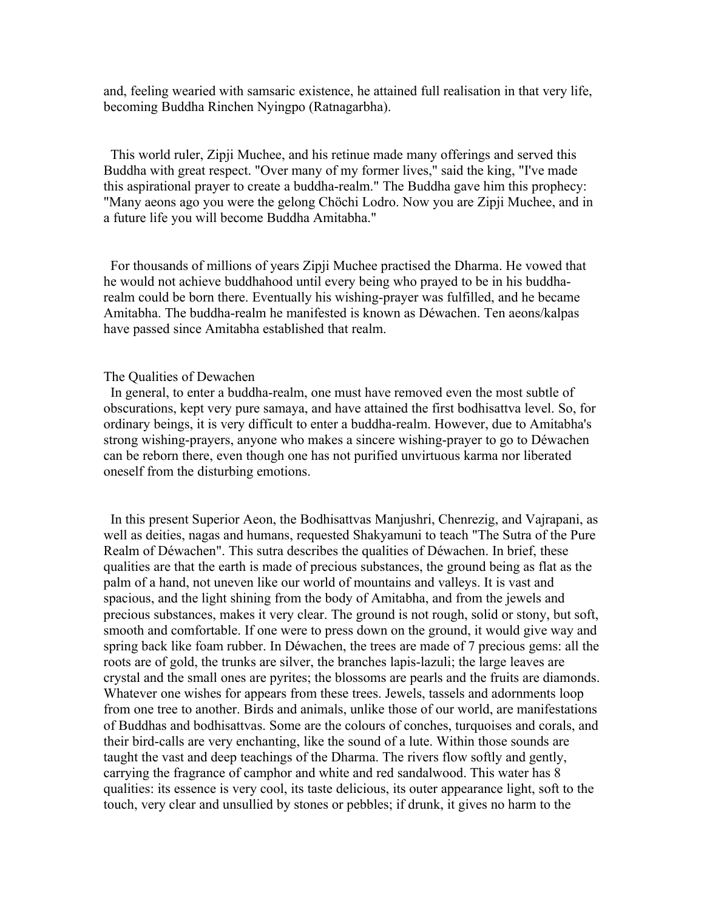and, feeling wearied with samsaric existence, he attained full realisation in that very life, becoming Buddha Rinchen Nyingpo (Ratnagarbha).

 This world ruler, Zipji Muchee, and his retinue made many offerings and served this Buddha with great respect. "Over many of my former lives," said the king, "I've made this aspirational prayer to create a buddha-realm." The Buddha gave him this prophecy: "Many aeons ago you were the gelong Chöchi Lodro. Now you are Zipji Muchee, and in a future life you will become Buddha Amitabha."

 For thousands of millions of years Zipji Muchee practised the Dharma. He vowed that he would not achieve buddhahood until every being who prayed to be in his buddharealm could be born there. Eventually his wishing-prayer was fulfilled, and he became Amitabha. The buddha-realm he manifested is known as Déwachen. Ten aeons/kalpas have passed since Amitabha established that realm.

## The Qualities of Dewachen

 In general, to enter a buddha-realm, one must have removed even the most subtle of obscurations, kept very pure samaya, and have attained the first bodhisattva level. So, for ordinary beings, it is very difficult to enter a buddha-realm. However, due to Amitabha's strong wishing-prayers, anyone who makes a sincere wishing-prayer to go to Déwachen can be reborn there, even though one has not purified unvirtuous karma nor liberated oneself from the disturbing emotions.

 In this present Superior Aeon, the Bodhisattvas Manjushri, Chenrezig, and Vajrapani, as well as deities, nagas and humans, requested Shakyamuni to teach "The Sutra of the Pure Realm of Déwachen". This sutra describes the qualities of Déwachen. In brief, these qualities are that the earth is made of precious substances, the ground being as flat as the palm of a hand, not uneven like our world of mountains and valleys. It is vast and spacious, and the light shining from the body of Amitabha, and from the jewels and precious substances, makes it very clear. The ground is not rough, solid or stony, but soft, smooth and comfortable. If one were to press down on the ground, it would give way and spring back like foam rubber. In Déwachen, the trees are made of 7 precious gems: all the roots are of gold, the trunks are silver, the branches lapis-lazuli; the large leaves are crystal and the small ones are pyrites; the blossoms are pearls and the fruits are diamonds. Whatever one wishes for appears from these trees. Jewels, tassels and adornments loop from one tree to another. Birds and animals, unlike those of our world, are manifestations of Buddhas and bodhisattvas. Some are the colours of conches, turquoises and corals, and their bird-calls are very enchanting, like the sound of a lute. Within those sounds are taught the vast and deep teachings of the Dharma. The rivers flow softly and gently, carrying the fragrance of camphor and white and red sandalwood. This water has 8 qualities: its essence is very cool, its taste delicious, its outer appearance light, soft to the touch, very clear and unsullied by stones or pebbles; if drunk, it gives no harm to the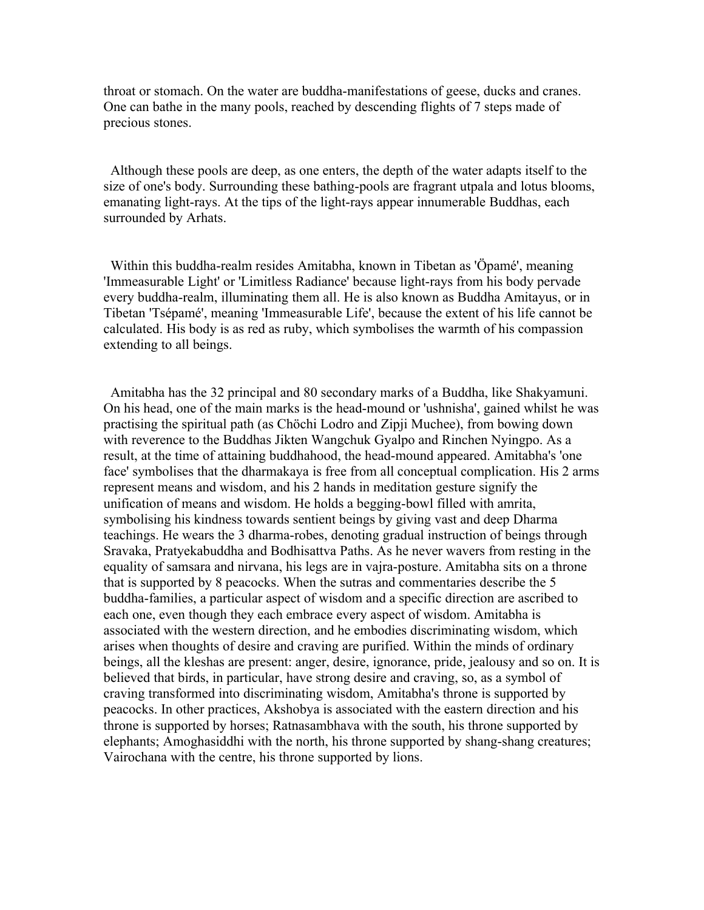throat or stomach. On the water are buddha-manifestations of geese, ducks and cranes. One can bathe in the many pools, reached by descending flights of 7 steps made of precious stones.

 Although these pools are deep, as one enters, the depth of the water adapts itself to the size of one's body. Surrounding these bathing-pools are fragrant utpala and lotus blooms, emanating light-rays. At the tips of the light-rays appear innumerable Buddhas, each surrounded by Arhats.

 Within this buddha-realm resides Amitabha, known in Tibetan as 'Öpamé', meaning 'Immeasurable Light' or 'Limitless Radiance' because light-rays from his body pervade every buddha-realm, illuminating them all. He is also known as Buddha Amitayus, or in Tibetan 'Tsépamé', meaning 'Immeasurable Life', because the extent of his life cannot be calculated. His body is as red as ruby, which symbolises the warmth of his compassion extending to all beings.

 Amitabha has the 32 principal and 80 secondary marks of a Buddha, like Shakyamuni. On his head, one of the main marks is the head-mound or 'ushnisha', gained whilst he was practising the spiritual path (as Chöchi Lodro and Zipji Muchee), from bowing down with reverence to the Buddhas Jikten Wangchuk Gyalpo and Rinchen Nyingpo. As a result, at the time of attaining buddhahood, the head-mound appeared. Amitabha's 'one face' symbolises that the dharmakaya is free from all conceptual complication. His 2 arms represent means and wisdom, and his 2 hands in meditation gesture signify the unification of means and wisdom. He holds a begging-bowl filled with amrita, symbolising his kindness towards sentient beings by giving vast and deep Dharma teachings. He wears the 3 dharma-robes, denoting gradual instruction of beings through Sravaka, Pratyekabuddha and Bodhisattva Paths. As he never wavers from resting in the equality of samsara and nirvana, his legs are in vajra-posture. Amitabha sits on a throne that is supported by 8 peacocks. When the sutras and commentaries describe the 5 buddha-families, a particular aspect of wisdom and a specific direction are ascribed to each one, even though they each embrace every aspect of wisdom. Amitabha is associated with the western direction, and he embodies discriminating wisdom, which arises when thoughts of desire and craving are purified. Within the minds of ordinary beings, all the kleshas are present: anger, desire, ignorance, pride, jealousy and so on. It is believed that birds, in particular, have strong desire and craving, so, as a symbol of craving transformed into discriminating wisdom, Amitabha's throne is supported by peacocks. In other practices, Akshobya is associated with the eastern direction and his throne is supported by horses; Ratnasambhava with the south, his throne supported by elephants; Amoghasiddhi with the north, his throne supported by shang-shang creatures; Vairochana with the centre, his throne supported by lions.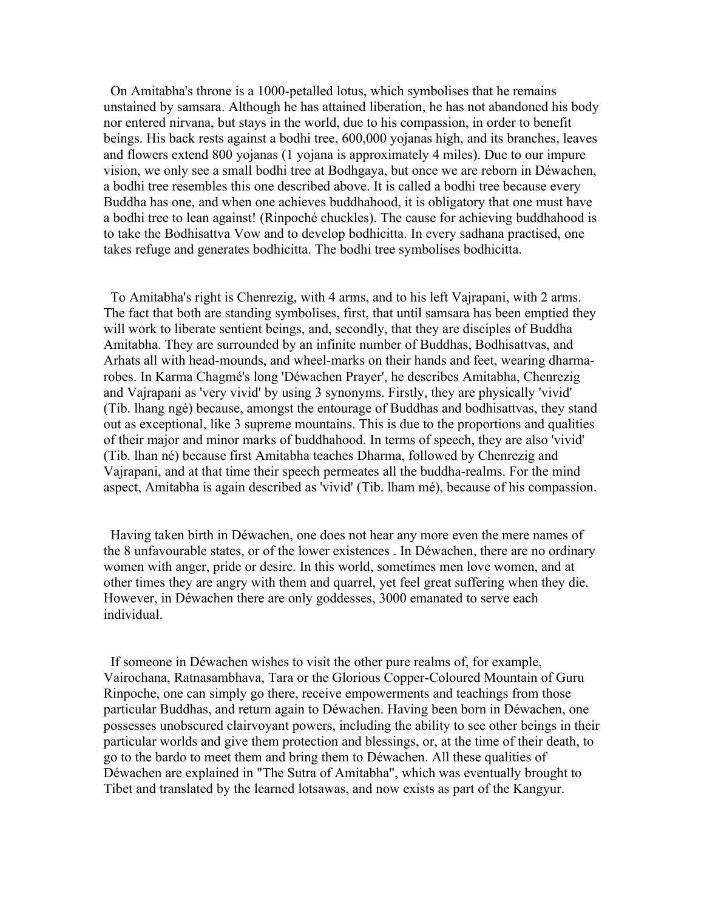On Amitabha's throne is a 1000-petalled lotus, which symbolises that he remains unstained by samsara. Although he has attained liberation, he has not abandoned his body nor entered nirvana, but stays in the world, due to his compassion, in order to benefit beings. His back rests against a bodhi tree, 600,000 yojanas high, and its branches, leaves and flowers extend 800 yojanas (1 yojana is approximately 4 miles). Due to our impure vision, we only see a small bodhi tree at Bodhgaya, but once we are reborn in Déwachen, a bodhi tree resembles this one described above. It is called a bodhi tree because every Buddha has one, and when one achieves buddhahood, it is obligatory that one must have a bodhi tree to lean against! (Rinpoché chuckles). The cause for achieving buddhahood is to take the Bodhisattva Vow and to develop bodhicitta. In every sadhana practised, one takes refuge and generates bodhicitta. The bodhi tree symbolises bodhicitta.

 To Amitabha's right is Chenrezig, with 4 arms, and to his left Vajrapani, with 2 arms. The fact that both are standing symbolises, first, that until samsara has been emptied they will work to liberate sentient beings, and, secondly, that they are disciples of Buddha Amitabha. They are surrounded by an infinite number of Buddhas, Bodhisattvas, and Arhats all with head-mounds, and wheel-marks on their hands and feet, wearing dharmarobes. In Karma Chagmé's long 'Déwachen Prayer', he describes Amitabha, Chenrezig and Vajrapani as 'very vivid' by using 3 synonyms. Firstly, they are physically 'vivid' (Tib. lhang ngé) because, amongst the entourage of Buddhas and bodhisattvas, they stand out as exceptional, like 3 supreme mountains. This is due to the proportions and qualities of their major and minor marks of buddhahood. In terms of speech, they are also 'vivid' (Tib. lhan né) because first Amitabha teaches Dharma, followed by Chenrezig and Vajrapani, and at that time their speech permeates all the buddha-realms. For the mind aspect, Amitabha is again described as 'vivid' (Tib. lham mé), because of his compassion.

 Having taken birth in Déwachen, one does not hear any more even the mere names of the 8 unfavourable states, or of the lower existences . In Déwachen, there are no ordinary women with anger, pride or desire. In this world, sometimes men love women, and at other times they are angry with them and quarrel, yet feel great suffering when they die. However, in Déwachen there are only goddesses, 3000 emanated to serve each individual.

 If someone in Déwachen wishes to visit the other pure realms of, for example, Vairochana, Ratnasambhava, Tara or the Glorious Copper-Coloured Mountain of Guru Rinpoche, one can simply go there, receive empowerments and teachings from those particular Buddhas, and return again to Déwachen. Having been born in Déwachen, one possesses unobscured clairvoyant powers, including the ability to see other beings in their particular worlds and give them protection and blessings, or, at the time of their death, to go to the bardo to meet them and bring them to Déwachen. All these qualities of Déwachen are explained in "The Sutra of Amitabha", which was eventually brought to Tibet and translated by the learned lotsawas, and now exists as part of the Kangyur.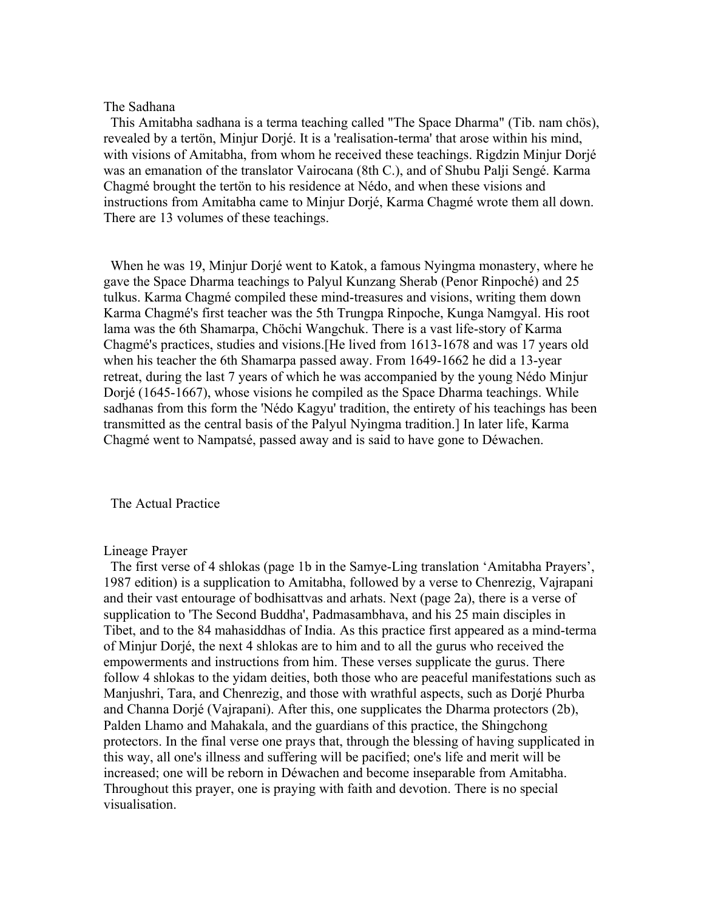# The Sadhana

 This Amitabha sadhana is a terma teaching called "The Space Dharma" (Tib. nam chös), revealed by a tertön, Minjur Dorjé. It is a 'realisation-terma' that arose within his mind, with visions of Amitabha, from whom he received these teachings. Rigdzin Minjur Dorjé was an emanation of the translator Vairocana (8th C.), and of Shubu Palji Sengé. Karma Chagmé brought the tertön to his residence at Nédo, and when these visions and instructions from Amitabha came to Minjur Dorjé, Karma Chagmé wrote them all down. There are 13 volumes of these teachings.

 When he was 19, Minjur Dorjé went to Katok, a famous Nyingma monastery, where he gave the Space Dharma teachings to Palyul Kunzang Sherab (Penor Rinpoché) and 25 tulkus. Karma Chagmé compiled these mind-treasures and visions, writing them down Karma Chagmé's first teacher was the 5th Trungpa Rinpoche, Kunga Namgyal. His root lama was the 6th Shamarpa, Chöchi Wangchuk. There is a vast life-story of Karma Chagmé's practices, studies and visions.[He lived from 1613-1678 and was 17 years old when his teacher the 6th Shamarpa passed away. From 1649-1662 he did a 13-year retreat, during the last 7 years of which he was accompanied by the young Nédo Minjur Dorjé (1645-1667), whose visions he compiled as the Space Dharma teachings. While sadhanas from this form the 'Nédo Kagyu' tradition, the entirety of his teachings has been transmitted as the central basis of the Palyul Nyingma tradition.] In later life, Karma Chagmé went to Nampatsé, passed away and is said to have gone to Déwachen.

The Actual Practice

# Lineage Prayer

 The first verse of 4 shlokas (page 1b in the Samye-Ling translation 'Amitabha Prayers', 1987 edition) is a supplication to Amitabha, followed by a verse to Chenrezig, Vajrapani and their vast entourage of bodhisattvas and arhats. Next (page 2a), there is a verse of supplication to 'The Second Buddha', Padmasambhava, and his 25 main disciples in Tibet, and to the 84 mahasiddhas of India. As this practice first appeared as a mind-terma of Minjur Dorjé, the next 4 shlokas are to him and to all the gurus who received the empowerments and instructions from him. These verses supplicate the gurus. There follow 4 shlokas to the yidam deities, both those who are peaceful manifestations such as Manjushri, Tara, and Chenrezig, and those with wrathful aspects, such as Dorjé Phurba and Channa Dorjé (Vajrapani). After this, one supplicates the Dharma protectors (2b), Palden Lhamo and Mahakala, and the guardians of this practice, the Shingchong protectors. In the final verse one prays that, through the blessing of having supplicated in this way, all one's illness and suffering will be pacified; one's life and merit will be increased; one will be reborn in Déwachen and become inseparable from Amitabha. Throughout this prayer, one is praying with faith and devotion. There is no special visualisation.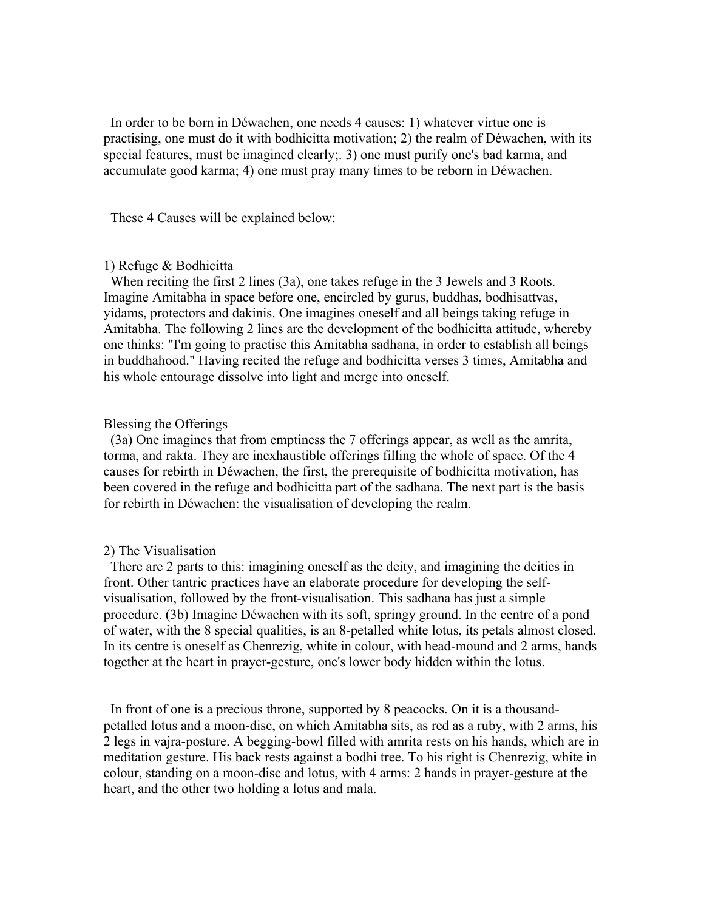In order to be born in Déwachen, one needs 4 causes: 1) whatever virtue one is practising, one must do it with bodhicitta motivation; 2) the realm of Déwachen, with its special features, must be imagined clearly;. 3) one must purify one's bad karma, and accumulate good karma; 4) one must pray many times to be reborn in Déwachen.

These 4 Causes will be explained below:

# 1) Refuge & Bodhicitta

 When reciting the first 2 lines (3a), one takes refuge in the 3 Jewels and 3 Roots. Imagine Amitabha in space before one, encircled by gurus, buddhas, bodhisattvas, yidams, protectors and dakinis. One imagines oneself and all beings taking refuge in Amitabha. The following 2 lines are the development of the bodhicitta attitude, whereby one thinks: "I'm going to practise this Amitabha sadhana, in order to establish all beings in buddhahood." Having recited the refuge and bodhicitta verses 3 times, Amitabha and his whole entourage dissolve into light and merge into oneself.

# Blessing the Offerings

 (3a) One imagines that from emptiness the 7 offerings appear, as well as the amrita, torma, and rakta. They are inexhaustible offerings filling the whole of space. Of the 4 causes for rebirth in Déwachen, the first, the prerequisite of bodhicitta motivation, has been covered in the refuge and bodhicitta part of the sadhana. The next part is the basis for rebirth in Déwachen: the visualisation of developing the realm.

### 2) The Visualisation

 There are 2 parts to this: imagining oneself as the deity, and imagining the deities in front. Other tantric practices have an elaborate procedure for developing the selfvisualisation, followed by the front-visualisation. This sadhana has just a simple procedure. (3b) Imagine Déwachen with its soft, springy ground. In the centre of a pond of water, with the 8 special qualities, is an 8-petalled white lotus, its petals almost closed. In its centre is oneself as Chenrezig, white in colour, with head-mound and 2 arms, hands together at the heart in prayer-gesture, one's lower body hidden within the lotus.

 In front of one is a precious throne, supported by 8 peacocks. On it is a thousandpetalled lotus and a moon-disc, on which Amitabha sits, as red as a ruby, with 2 arms, his 2 legs in vajra-posture. A begging-bowl filled with amrita rests on his hands, which are in meditation gesture. His back rests against a bodhi tree. To his right is Chenrezig, white in colour, standing on a moon-disc and lotus, with 4 arms: 2 hands in prayer-gesture at the heart, and the other two holding a lotus and mala.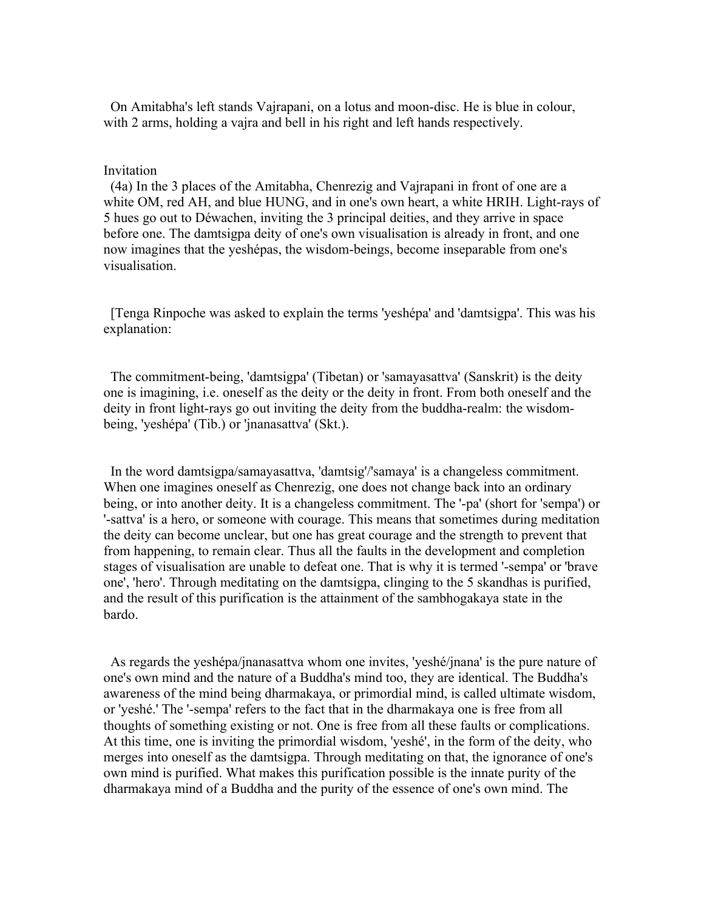On Amitabha's left stands Vajrapani, on a lotus and moon-disc. He is blue in colour, with 2 arms, holding a vajra and bell in his right and left hands respectively.

## Invitation

 (4a) In the 3 places of the Amitabha, Chenrezig and Vajrapani in front of one are a white OM, red AH, and blue HUNG, and in one's own heart, a white HRIH. Light-rays of 5 hues go out to Déwachen, inviting the 3 principal deities, and they arrive in space before one. The damtsigpa deity of one's own visualisation is already in front, and one now imagines that the yeshépas, the wisdom-beings, become inseparable from one's visualisation.

 [Tenga Rinpoche was asked to explain the terms 'yeshépa' and 'damtsigpa'. This was his explanation:

 The commitment-being, 'damtsigpa' (Tibetan) or 'samayasattva' (Sanskrit) is the deity one is imagining, i.e. oneself as the deity or the deity in front. From both oneself and the deity in front light-rays go out inviting the deity from the buddha-realm: the wisdombeing, 'yeshépa' (Tib.) or 'jnanasattva' (Skt.).

 In the word damtsigpa/samayasattva, 'damtsig'/'samaya' is a changeless commitment. When one imagines oneself as Chenrezig, one does not change back into an ordinary being, or into another deity. It is a changeless commitment. The '-pa' (short for 'sempa') or '-sattva' is a hero, or someone with courage. This means that sometimes during meditation the deity can become unclear, but one has great courage and the strength to prevent that from happening, to remain clear. Thus all the faults in the development and completion stages of visualisation are unable to defeat one. That is why it is termed '-sempa' or 'brave one', 'hero'. Through meditating on the damtsigpa, clinging to the 5 skandhas is purified, and the result of this purification is the attainment of the sambhogakaya state in the bardo.

 As regards the yeshépa/jnanasattva whom one invites, 'yeshé/jnana' is the pure nature of one's own mind and the nature of a Buddha's mind too, they are identical. The Buddha's awareness of the mind being dharmakaya, or primordial mind, is called ultimate wisdom, or 'yeshé.' The '-sempa' refers to the fact that in the dharmakaya one is free from all thoughts of something existing or not. One is free from all these faults or complications. At this time, one is inviting the primordial wisdom, 'yeshé', in the form of the deity, who merges into oneself as the damtsigpa. Through meditating on that, the ignorance of one's own mind is purified. What makes this purification possible is the innate purity of the dharmakaya mind of a Buddha and the purity of the essence of one's own mind. The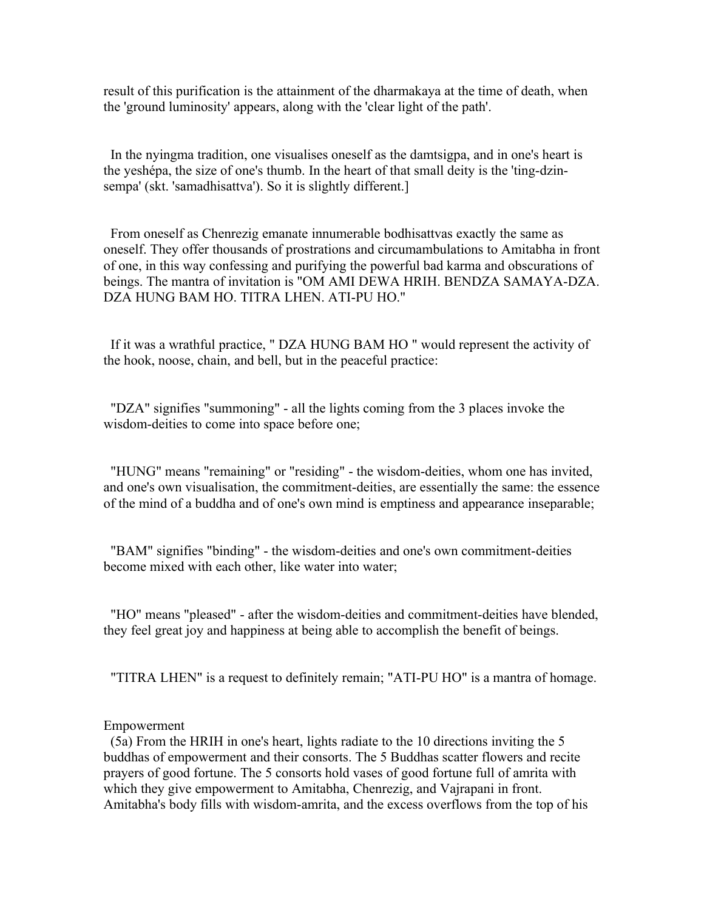result of this purification is the attainment of the dharmakaya at the time of death, when the 'ground luminosity' appears, along with the 'clear light of the path'.

 In the nyingma tradition, one visualises oneself as the damtsigpa, and in one's heart is the yeshépa, the size of one's thumb. In the heart of that small deity is the 'ting-dzinsempa' (skt. 'samadhisattva'). So it is slightly different.]

 From oneself as Chenrezig emanate innumerable bodhisattvas exactly the same as oneself. They offer thousands of prostrations and circumambulations to Amitabha in front of one, in this way confessing and purifying the powerful bad karma and obscurations of beings. The mantra of invitation is "OM AMI DEWA HRIH. BENDZA SAMAYA-DZA. DZA HUNG BAM HO. TITRA LHEN. ATI-PU HO."

 If it was a wrathful practice, " DZA HUNG BAM HO " would represent the activity of the hook, noose, chain, and bell, but in the peaceful practice:

 "DZA" signifies "summoning" - all the lights coming from the 3 places invoke the wisdom-deities to come into space before one;

 "HUNG" means "remaining" or "residing" - the wisdom-deities, whom one has invited, and one's own visualisation, the commitment-deities, are essentially the same: the essence of the mind of a buddha and of one's own mind is emptiness and appearance inseparable;

 "BAM" signifies "binding" - the wisdom-deities and one's own commitment-deities become mixed with each other, like water into water;

 "HO" means "pleased" - after the wisdom-deities and commitment-deities have blended, they feel great joy and happiness at being able to accomplish the benefit of beings.

"TITRA LHEN" is a request to definitely remain; "ATI-PU HO" is a mantra of homage.

### Empowerment

 (5a) From the HRIH in one's heart, lights radiate to the 10 directions inviting the 5 buddhas of empowerment and their consorts. The 5 Buddhas scatter flowers and recite prayers of good fortune. The 5 consorts hold vases of good fortune full of amrita with which they give empowerment to Amitabha, Chenrezig, and Vajrapani in front. Amitabha's body fills with wisdom-amrita, and the excess overflows from the top of his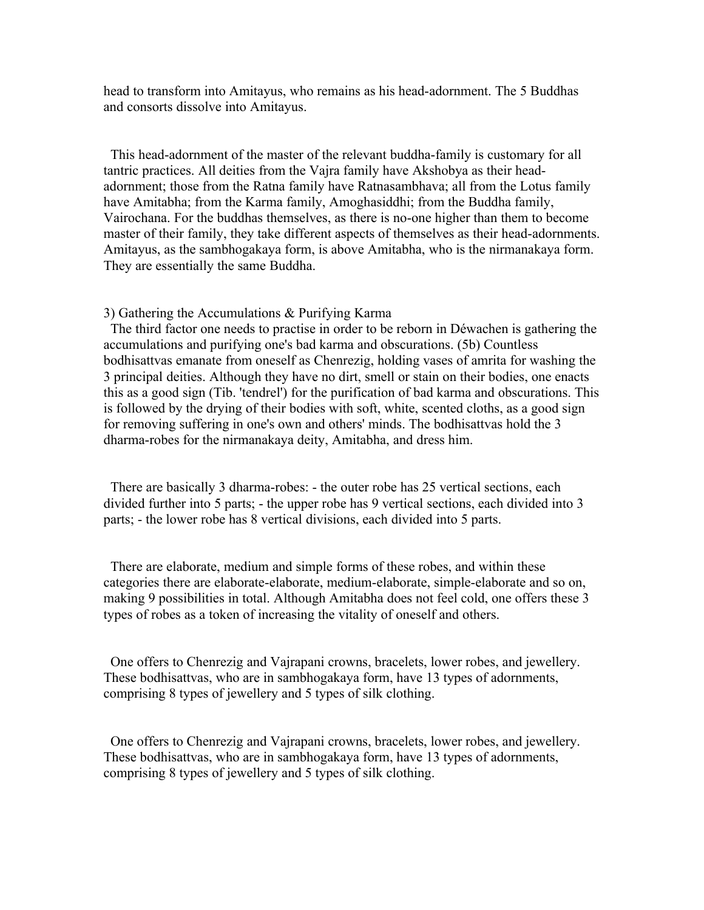head to transform into Amitayus, who remains as his head-adornment. The 5 Buddhas and consorts dissolve into Amitayus.

 This head-adornment of the master of the relevant buddha-family is customary for all tantric practices. All deities from the Vajra family have Akshobya as their headadornment; those from the Ratna family have Ratnasambhava; all from the Lotus family have Amitabha; from the Karma family, Amoghasiddhi; from the Buddha family, Vairochana. For the buddhas themselves, as there is no-one higher than them to become master of their family, they take different aspects of themselves as their head-adornments. Amitayus, as the sambhogakaya form, is above Amitabha, who is the nirmanakaya form. They are essentially the same Buddha.

#### 3) Gathering the Accumulations & Purifying Karma

 The third factor one needs to practise in order to be reborn in Déwachen is gathering the accumulations and purifying one's bad karma and obscurations. (5b) Countless bodhisattvas emanate from oneself as Chenrezig, holding vases of amrita for washing the 3 principal deities. Although they have no dirt, smell or stain on their bodies, one enacts this as a good sign (Tib. 'tendrel') for the purification of bad karma and obscurations. This is followed by the drying of their bodies with soft, white, scented cloths, as a good sign for removing suffering in one's own and others' minds. The bodhisattvas hold the 3 dharma-robes for the nirmanakaya deity, Amitabha, and dress him.

 There are basically 3 dharma-robes: - the outer robe has 25 vertical sections, each divided further into 5 parts; - the upper robe has 9 vertical sections, each divided into 3 parts; - the lower robe has 8 vertical divisions, each divided into 5 parts.

 There are elaborate, medium and simple forms of these robes, and within these categories there are elaborate-elaborate, medium-elaborate, simple-elaborate and so on, making 9 possibilities in total. Although Amitabha does not feel cold, one offers these 3 types of robes as a token of increasing the vitality of oneself and others.

 One offers to Chenrezig and Vajrapani crowns, bracelets, lower robes, and jewellery. These bodhisattvas, who are in sambhogakaya form, have 13 types of adornments, comprising 8 types of jewellery and 5 types of silk clothing.

 One offers to Chenrezig and Vajrapani crowns, bracelets, lower robes, and jewellery. These bodhisattvas, who are in sambhogakaya form, have 13 types of adornments, comprising 8 types of jewellery and 5 types of silk clothing.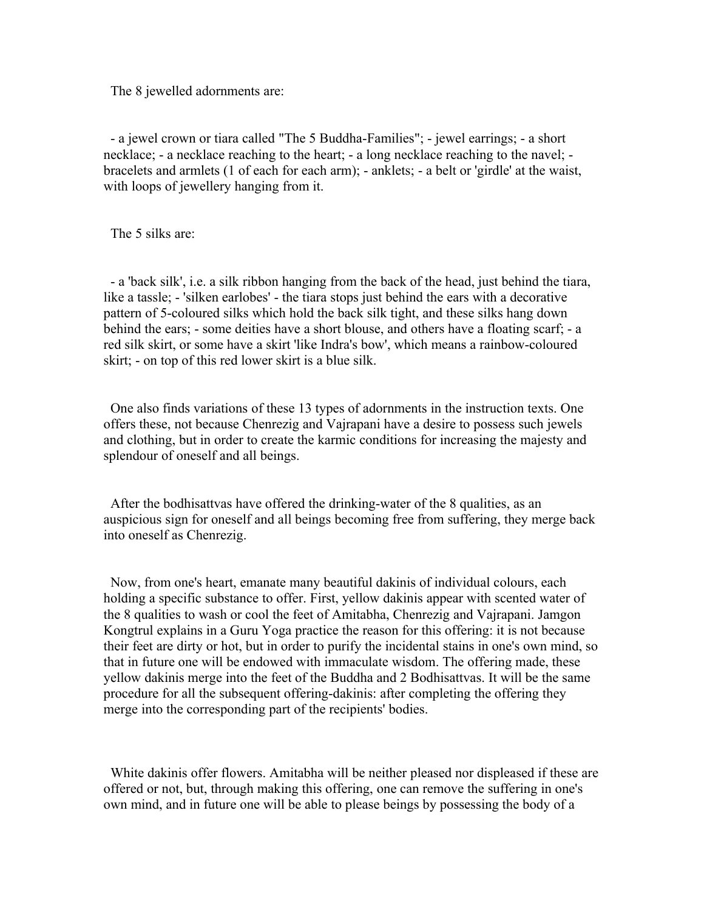The 8 jewelled adornments are:

 - a jewel crown or tiara called "The 5 Buddha-Families"; - jewel earrings; - a short necklace; - a necklace reaching to the heart; - a long necklace reaching to the navel; bracelets and armlets (1 of each for each arm); - anklets; - a belt or 'girdle' at the waist, with loops of jewellery hanging from it.

The 5 silks are:

 - a 'back silk', i.e. a silk ribbon hanging from the back of the head, just behind the tiara, like a tassle; - 'silken earlobes' - the tiara stops just behind the ears with a decorative pattern of 5-coloured silks which hold the back silk tight, and these silks hang down behind the ears; - some deities have a short blouse, and others have a floating scarf; - a red silk skirt, or some have a skirt 'like Indra's bow', which means a rainbow-coloured skirt; - on top of this red lower skirt is a blue silk.

 One also finds variations of these 13 types of adornments in the instruction texts. One offers these, not because Chenrezig and Vajrapani have a desire to possess such jewels and clothing, but in order to create the karmic conditions for increasing the majesty and splendour of oneself and all beings.

 After the bodhisattvas have offered the drinking-water of the 8 qualities, as an auspicious sign for oneself and all beings becoming free from suffering, they merge back into oneself as Chenrezig.

 Now, from one's heart, emanate many beautiful dakinis of individual colours, each holding a specific substance to offer. First, yellow dakinis appear with scented water of the 8 qualities to wash or cool the feet of Amitabha, Chenrezig and Vajrapani. Jamgon Kongtrul explains in a Guru Yoga practice the reason for this offering: it is not because their feet are dirty or hot, but in order to purify the incidental stains in one's own mind, so that in future one will be endowed with immaculate wisdom. The offering made, these yellow dakinis merge into the feet of the Buddha and 2 Bodhisattvas. It will be the same procedure for all the subsequent offering-dakinis: after completing the offering they merge into the corresponding part of the recipients' bodies.

 White dakinis offer flowers. Amitabha will be neither pleased nor displeased if these are offered or not, but, through making this offering, one can remove the suffering in one's own mind, and in future one will be able to please beings by possessing the body of a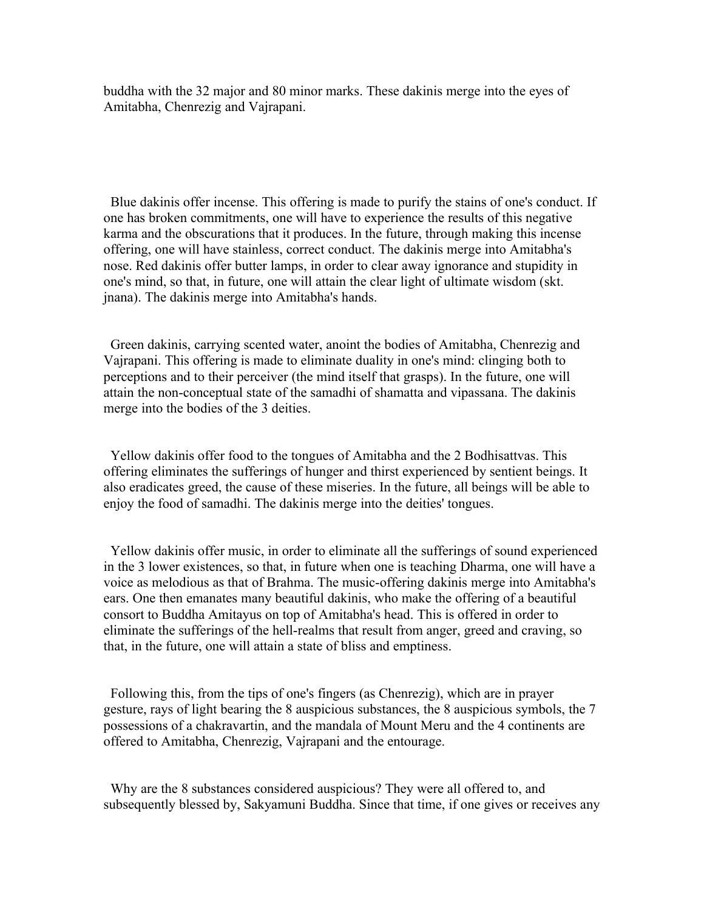buddha with the 32 major and 80 minor marks. These dakinis merge into the eyes of Amitabha, Chenrezig and Vajrapani.

 Blue dakinis offer incense. This offering is made to purify the stains of one's conduct. If one has broken commitments, one will have to experience the results of this negative karma and the obscurations that it produces. In the future, through making this incense offering, one will have stainless, correct conduct. The dakinis merge into Amitabha's nose. Red dakinis offer butter lamps, in order to clear away ignorance and stupidity in one's mind, so that, in future, one will attain the clear light of ultimate wisdom (skt. jnana). The dakinis merge into Amitabha's hands.

 Green dakinis, carrying scented water, anoint the bodies of Amitabha, Chenrezig and Vajrapani. This offering is made to eliminate duality in one's mind: clinging both to perceptions and to their perceiver (the mind itself that grasps). In the future, one will attain the non-conceptual state of the samadhi of shamatta and vipassana. The dakinis merge into the bodies of the 3 deities.

 Yellow dakinis offer food to the tongues of Amitabha and the 2 Bodhisattvas. This offering eliminates the sufferings of hunger and thirst experienced by sentient beings. It also eradicates greed, the cause of these miseries. In the future, all beings will be able to enjoy the food of samadhi. The dakinis merge into the deities' tongues.

 Yellow dakinis offer music, in order to eliminate all the sufferings of sound experienced in the 3 lower existences, so that, in future when one is teaching Dharma, one will have a voice as melodious as that of Brahma. The music-offering dakinis merge into Amitabha's ears. One then emanates many beautiful dakinis, who make the offering of a beautiful consort to Buddha Amitayus on top of Amitabha's head. This is offered in order to eliminate the sufferings of the hell-realms that result from anger, greed and craving, so that, in the future, one will attain a state of bliss and emptiness.

 Following this, from the tips of one's fingers (as Chenrezig), which are in prayer gesture, rays of light bearing the 8 auspicious substances, the 8 auspicious symbols, the 7 possessions of a chakravartin, and the mandala of Mount Meru and the 4 continents are offered to Amitabha, Chenrezig, Vajrapani and the entourage.

 Why are the 8 substances considered auspicious? They were all offered to, and subsequently blessed by, Sakyamuni Buddha. Since that time, if one gives or receives any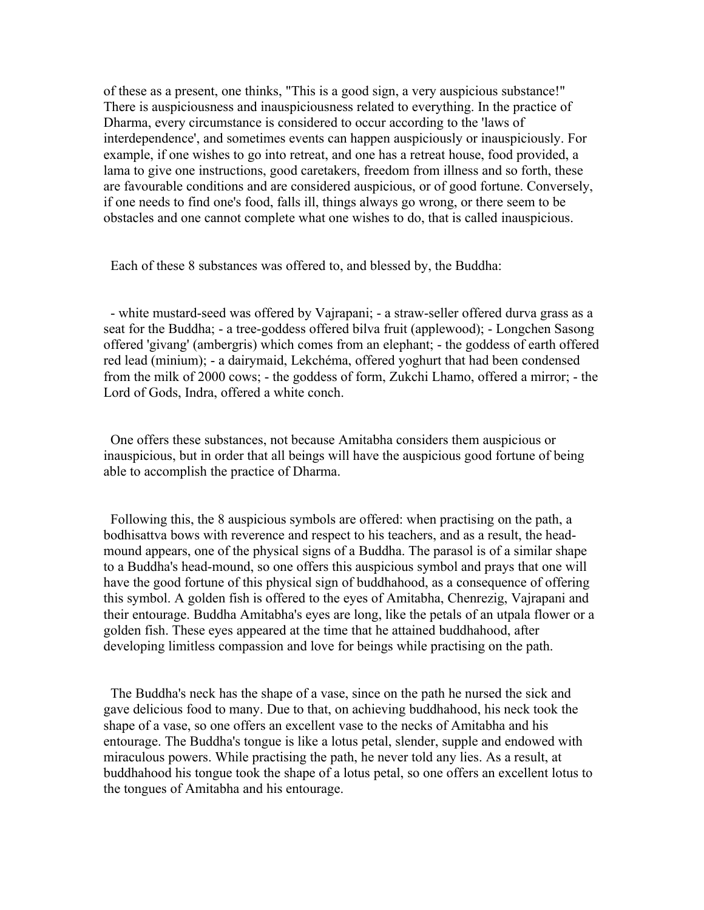of these as a present, one thinks, "This is a good sign, a very auspicious substance!" There is auspiciousness and inauspiciousness related to everything. In the practice of Dharma, every circumstance is considered to occur according to the 'laws of interdependence', and sometimes events can happen auspiciously or inauspiciously. For example, if one wishes to go into retreat, and one has a retreat house, food provided, a lama to give one instructions, good caretakers, freedom from illness and so forth, these are favourable conditions and are considered auspicious, or of good fortune. Conversely, if one needs to find one's food, falls ill, things always go wrong, or there seem to be obstacles and one cannot complete what one wishes to do, that is called inauspicious.

Each of these 8 substances was offered to, and blessed by, the Buddha:

 - white mustard-seed was offered by Vajrapani; - a straw-seller offered durva grass as a seat for the Buddha; - a tree-goddess offered bilva fruit (applewood); - Longchen Sasong offered 'givang' (ambergris) which comes from an elephant; - the goddess of earth offered red lead (minium); - a dairymaid, Lekchéma, offered yoghurt that had been condensed from the milk of 2000 cows; - the goddess of form, Zukchi Lhamo, offered a mirror; - the Lord of Gods, Indra, offered a white conch.

 One offers these substances, not because Amitabha considers them auspicious or inauspicious, but in order that all beings will have the auspicious good fortune of being able to accomplish the practice of Dharma.

 Following this, the 8 auspicious symbols are offered: when practising on the path, a bodhisattva bows with reverence and respect to his teachers, and as a result, the headmound appears, one of the physical signs of a Buddha. The parasol is of a similar shape to a Buddha's head-mound, so one offers this auspicious symbol and prays that one will have the good fortune of this physical sign of buddhahood, as a consequence of offering this symbol. A golden fish is offered to the eyes of Amitabha, Chenrezig, Vajrapani and their entourage. Buddha Amitabha's eyes are long, like the petals of an utpala flower or a golden fish. These eyes appeared at the time that he attained buddhahood, after developing limitless compassion and love for beings while practising on the path.

 The Buddha's neck has the shape of a vase, since on the path he nursed the sick and gave delicious food to many. Due to that, on achieving buddhahood, his neck took the shape of a vase, so one offers an excellent vase to the necks of Amitabha and his entourage. The Buddha's tongue is like a lotus petal, slender, supple and endowed with miraculous powers. While practising the path, he never told any lies. As a result, at buddhahood his tongue took the shape of a lotus petal, so one offers an excellent lotus to the tongues of Amitabha and his entourage.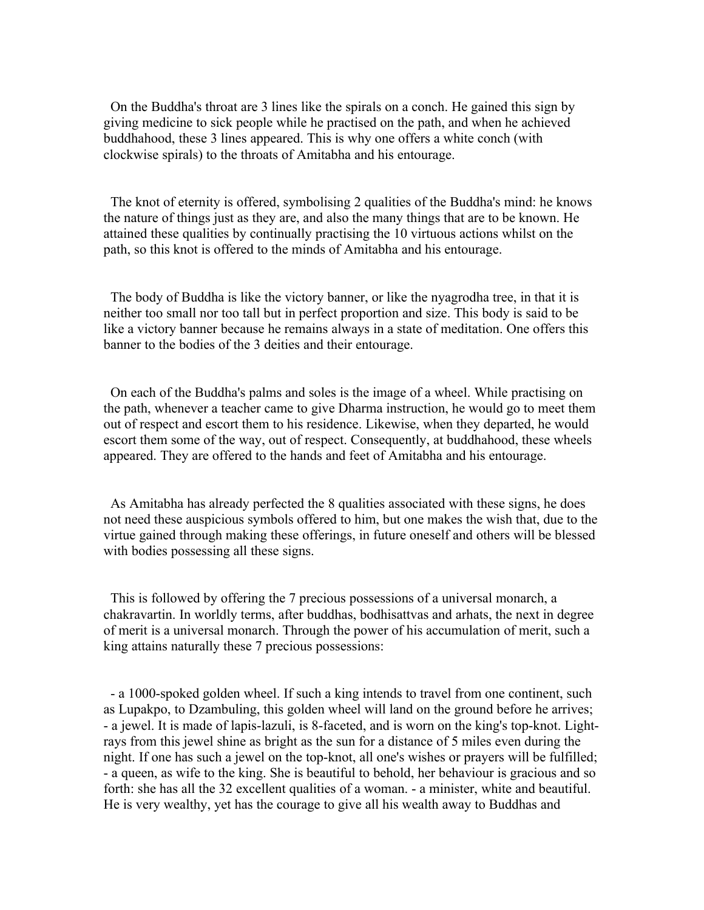On the Buddha's throat are 3 lines like the spirals on a conch. He gained this sign by giving medicine to sick people while he practised on the path, and when he achieved buddhahood, these 3 lines appeared. This is why one offers a white conch (with clockwise spirals) to the throats of Amitabha and his entourage.

 The knot of eternity is offered, symbolising 2 qualities of the Buddha's mind: he knows the nature of things just as they are, and also the many things that are to be known. He attained these qualities by continually practising the 10 virtuous actions whilst on the path, so this knot is offered to the minds of Amitabha and his entourage.

 The body of Buddha is like the victory banner, or like the nyagrodha tree, in that it is neither too small nor too tall but in perfect proportion and size. This body is said to be like a victory banner because he remains always in a state of meditation. One offers this banner to the bodies of the 3 deities and their entourage.

 On each of the Buddha's palms and soles is the image of a wheel. While practising on the path, whenever a teacher came to give Dharma instruction, he would go to meet them out of respect and escort them to his residence. Likewise, when they departed, he would escort them some of the way, out of respect. Consequently, at buddhahood, these wheels appeared. They are offered to the hands and feet of Amitabha and his entourage.

 As Amitabha has already perfected the 8 qualities associated with these signs, he does not need these auspicious symbols offered to him, but one makes the wish that, due to the virtue gained through making these offerings, in future oneself and others will be blessed with bodies possessing all these signs.

 This is followed by offering the 7 precious possessions of a universal monarch, a chakravartin. In worldly terms, after buddhas, bodhisattvas and arhats, the next in degree of merit is a universal monarch. Through the power of his accumulation of merit, such a king attains naturally these 7 precious possessions:

 - a 1000-spoked golden wheel. If such a king intends to travel from one continent, such as Lupakpo, to Dzambuling, this golden wheel will land on the ground before he arrives; - a jewel. It is made of lapis-lazuli, is 8-faceted, and is worn on the king's top-knot. Lightrays from this jewel shine as bright as the sun for a distance of 5 miles even during the night. If one has such a jewel on the top-knot, all one's wishes or prayers will be fulfilled; - a queen, as wife to the king. She is beautiful to behold, her behaviour is gracious and so forth: she has all the 32 excellent qualities of a woman. - a minister, white and beautiful. He is very wealthy, yet has the courage to give all his wealth away to Buddhas and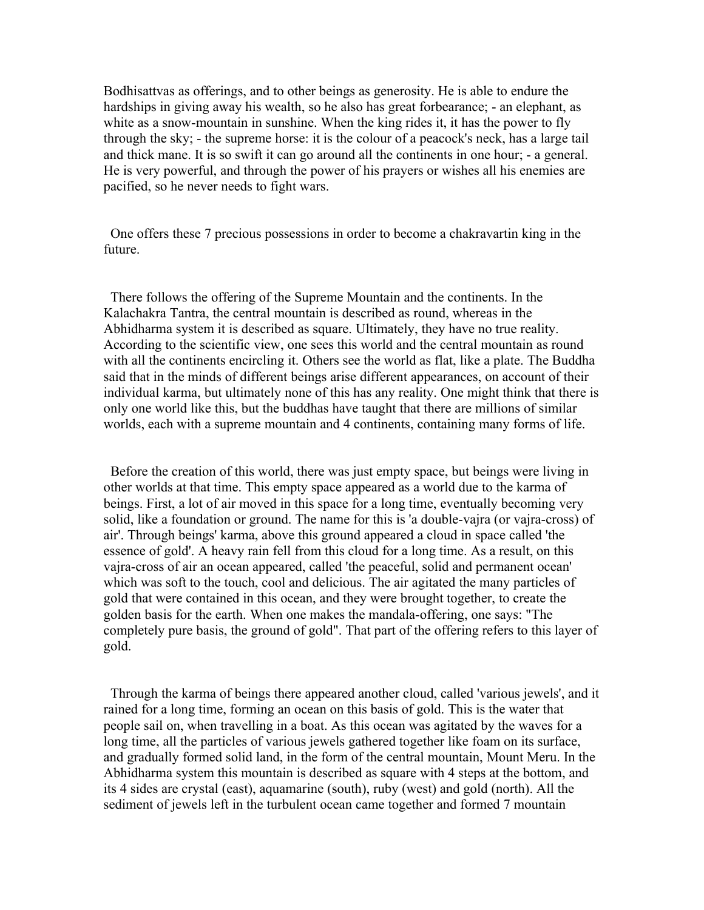Bodhisattvas as offerings, and to other beings as generosity. He is able to endure the hardships in giving away his wealth, so he also has great forbearance; - an elephant, as white as a snow-mountain in sunshine. When the king rides it, it has the power to fly through the sky; - the supreme horse: it is the colour of a peacock's neck, has a large tail and thick mane. It is so swift it can go around all the continents in one hour; - a general. He is very powerful, and through the power of his prayers or wishes all his enemies are pacified, so he never needs to fight wars.

 One offers these 7 precious possessions in order to become a chakravartin king in the future.

 There follows the offering of the Supreme Mountain and the continents. In the Kalachakra Tantra, the central mountain is described as round, whereas in the Abhidharma system it is described as square. Ultimately, they have no true reality. According to the scientific view, one sees this world and the central mountain as round with all the continents encircling it. Others see the world as flat, like a plate. The Buddha said that in the minds of different beings arise different appearances, on account of their individual karma, but ultimately none of this has any reality. One might think that there is only one world like this, but the buddhas have taught that there are millions of similar worlds, each with a supreme mountain and 4 continents, containing many forms of life.

 Before the creation of this world, there was just empty space, but beings were living in other worlds at that time. This empty space appeared as a world due to the karma of beings. First, a lot of air moved in this space for a long time, eventually becoming very solid, like a foundation or ground. The name for this is 'a double-vajra (or vajra-cross) of air'. Through beings' karma, above this ground appeared a cloud in space called 'the essence of gold'. A heavy rain fell from this cloud for a long time. As a result, on this vajra-cross of air an ocean appeared, called 'the peaceful, solid and permanent ocean' which was soft to the touch, cool and delicious. The air agitated the many particles of gold that were contained in this ocean, and they were brought together, to create the golden basis for the earth. When one makes the mandala-offering, one says: "The completely pure basis, the ground of gold". That part of the offering refers to this layer of gold.

 Through the karma of beings there appeared another cloud, called 'various jewels', and it rained for a long time, forming an ocean on this basis of gold. This is the water that people sail on, when travelling in a boat. As this ocean was agitated by the waves for a long time, all the particles of various jewels gathered together like foam on its surface, and gradually formed solid land, in the form of the central mountain, Mount Meru. In the Abhidharma system this mountain is described as square with 4 steps at the bottom, and its 4 sides are crystal (east), aquamarine (south), ruby (west) and gold (north). All the sediment of jewels left in the turbulent ocean came together and formed 7 mountain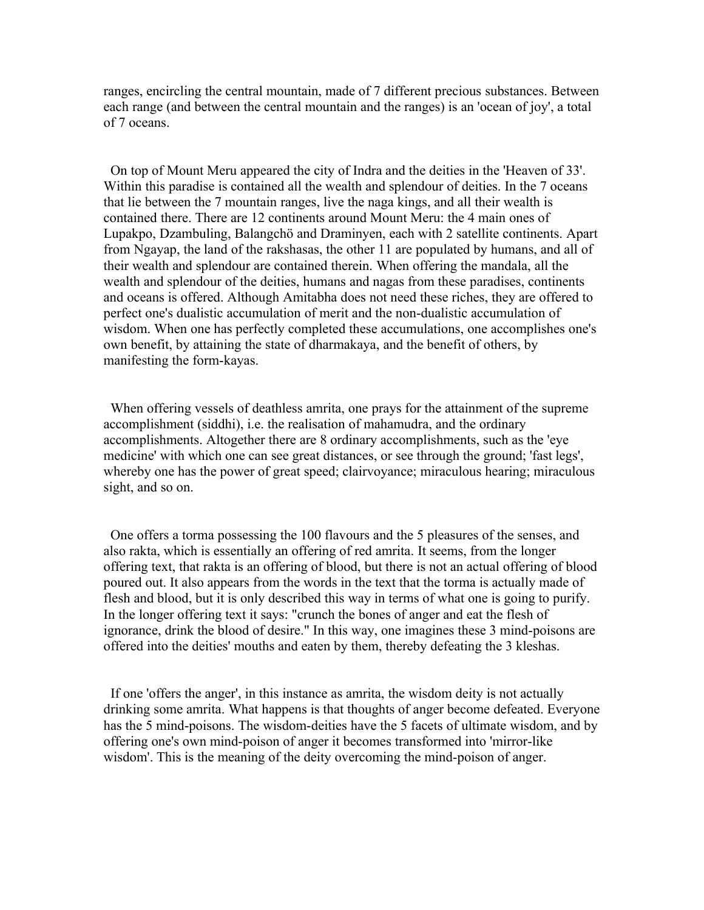ranges, encircling the central mountain, made of 7 different precious substances. Between each range (and between the central mountain and the ranges) is an 'ocean of joy', a total of 7 oceans.

 On top of Mount Meru appeared the city of Indra and the deities in the 'Heaven of 33'. Within this paradise is contained all the wealth and splendour of deities. In the 7 oceans that lie between the 7 mountain ranges, live the naga kings, and all their wealth is contained there. There are 12 continents around Mount Meru: the 4 main ones of Lupakpo, Dzambuling, Balangchö and Draminyen, each with 2 satellite continents. Apart from Ngayap, the land of the rakshasas, the other 11 are populated by humans, and all of their wealth and splendour are contained therein. When offering the mandala, all the wealth and splendour of the deities, humans and nagas from these paradises, continents and oceans is offered. Although Amitabha does not need these riches, they are offered to perfect one's dualistic accumulation of merit and the non-dualistic accumulation of wisdom. When one has perfectly completed these accumulations, one accomplishes one's own benefit, by attaining the state of dharmakaya, and the benefit of others, by manifesting the form-kayas.

 When offering vessels of deathless amrita, one prays for the attainment of the supreme accomplishment (siddhi), i.e. the realisation of mahamudra, and the ordinary accomplishments. Altogether there are 8 ordinary accomplishments, such as the 'eye medicine' with which one can see great distances, or see through the ground; 'fast legs', whereby one has the power of great speed; clairvoyance; miraculous hearing; miraculous sight, and so on.

 One offers a torma possessing the 100 flavours and the 5 pleasures of the senses, and also rakta, which is essentially an offering of red amrita. It seems, from the longer offering text, that rakta is an offering of blood, but there is not an actual offering of blood poured out. It also appears from the words in the text that the torma is actually made of flesh and blood, but it is only described this way in terms of what one is going to purify. In the longer offering text it says: "crunch the bones of anger and eat the flesh of ignorance, drink the blood of desire." In this way, one imagines these 3 mind-poisons are offered into the deities' mouths and eaten by them, thereby defeating the 3 kleshas.

 If one 'offers the anger', in this instance as amrita, the wisdom deity is not actually drinking some amrita. What happens is that thoughts of anger become defeated. Everyone has the 5 mind-poisons. The wisdom-deities have the 5 facets of ultimate wisdom, and by offering one's own mind-poison of anger it becomes transformed into 'mirror-like wisdom'. This is the meaning of the deity overcoming the mind-poison of anger.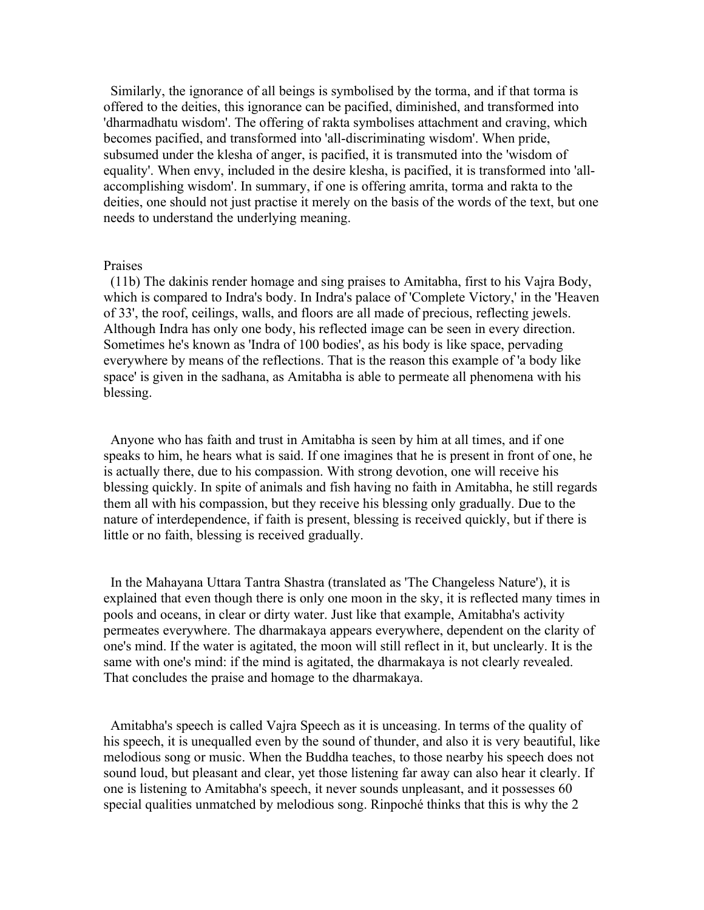Similarly, the ignorance of all beings is symbolised by the torma, and if that torma is offered to the deities, this ignorance can be pacified, diminished, and transformed into 'dharmadhatu wisdom'. The offering of rakta symbolises attachment and craving, which becomes pacified, and transformed into 'all-discriminating wisdom'. When pride, subsumed under the klesha of anger, is pacified, it is transmuted into the 'wisdom of equality'. When envy, included in the desire klesha, is pacified, it is transformed into 'allaccomplishing wisdom'. In summary, if one is offering amrita, torma and rakta to the deities, one should not just practise it merely on the basis of the words of the text, but one needs to understand the underlying meaning.

### Praises

 (11b) The dakinis render homage and sing praises to Amitabha, first to his Vajra Body, which is compared to Indra's body. In Indra's palace of 'Complete Victory,' in the 'Heaven of 33', the roof, ceilings, walls, and floors are all made of precious, reflecting jewels. Although Indra has only one body, his reflected image can be seen in every direction. Sometimes he's known as 'Indra of 100 bodies', as his body is like space, pervading everywhere by means of the reflections. That is the reason this example of 'a body like space' is given in the sadhana, as Amitabha is able to permeate all phenomena with his blessing.

 Anyone who has faith and trust in Amitabha is seen by him at all times, and if one speaks to him, he hears what is said. If one imagines that he is present in front of one, he is actually there, due to his compassion. With strong devotion, one will receive his blessing quickly. In spite of animals and fish having no faith in Amitabha, he still regards them all with his compassion, but they receive his blessing only gradually. Due to the nature of interdependence, if faith is present, blessing is received quickly, but if there is little or no faith, blessing is received gradually.

 In the Mahayana Uttara Tantra Shastra (translated as 'The Changeless Nature'), it is explained that even though there is only one moon in the sky, it is reflected many times in pools and oceans, in clear or dirty water. Just like that example, Amitabha's activity permeates everywhere. The dharmakaya appears everywhere, dependent on the clarity of one's mind. If the water is agitated, the moon will still reflect in it, but unclearly. It is the same with one's mind: if the mind is agitated, the dharmakaya is not clearly revealed. That concludes the praise and homage to the dharmakaya.

 Amitabha's speech is called Vajra Speech as it is unceasing. In terms of the quality of his speech, it is unequalled even by the sound of thunder, and also it is very beautiful, like melodious song or music. When the Buddha teaches, to those nearby his speech does not sound loud, but pleasant and clear, yet those listening far away can also hear it clearly. If one is listening to Amitabha's speech, it never sounds unpleasant, and it possesses 60 special qualities unmatched by melodious song. Rinpoché thinks that this is why the 2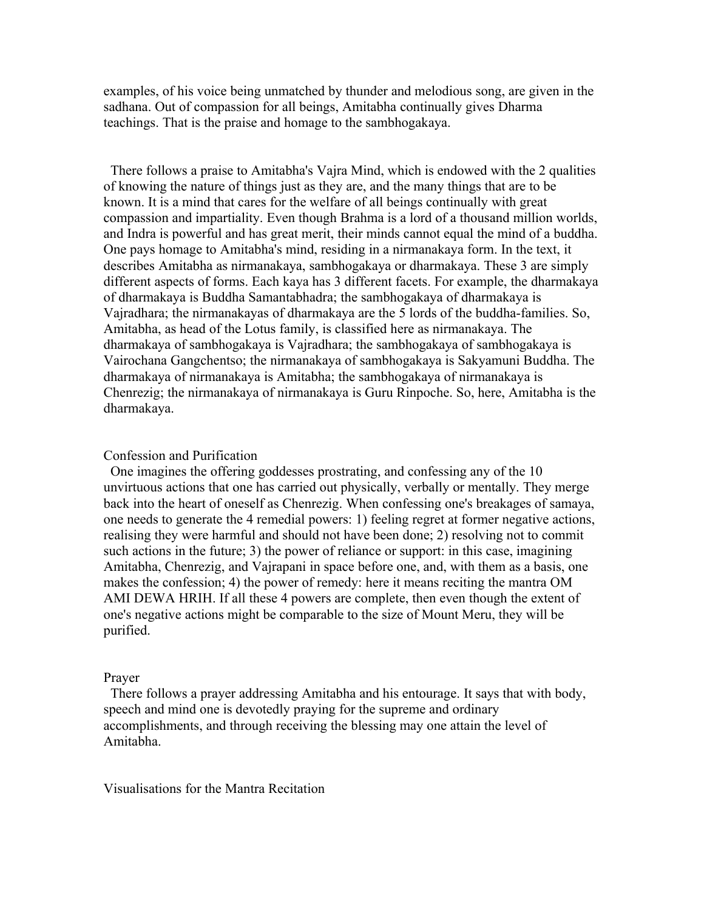examples, of his voice being unmatched by thunder and melodious song, are given in the sadhana. Out of compassion for all beings, Amitabha continually gives Dharma teachings. That is the praise and homage to the sambhogakaya.

 There follows a praise to Amitabha's Vajra Mind, which is endowed with the 2 qualities of knowing the nature of things just as they are, and the many things that are to be known. It is a mind that cares for the welfare of all beings continually with great compassion and impartiality. Even though Brahma is a lord of a thousand million worlds, and Indra is powerful and has great merit, their minds cannot equal the mind of a buddha. One pays homage to Amitabha's mind, residing in a nirmanakaya form. In the text, it describes Amitabha as nirmanakaya, sambhogakaya or dharmakaya. These 3 are simply different aspects of forms. Each kaya has 3 different facets. For example, the dharmakaya of dharmakaya is Buddha Samantabhadra; the sambhogakaya of dharmakaya is Vajradhara; the nirmanakayas of dharmakaya are the 5 lords of the buddha-families. So, Amitabha, as head of the Lotus family, is classified here as nirmanakaya. The dharmakaya of sambhogakaya is Vajradhara; the sambhogakaya of sambhogakaya is Vairochana Gangchentso; the nirmanakaya of sambhogakaya is Sakyamuni Buddha. The dharmakaya of nirmanakaya is Amitabha; the sambhogakaya of nirmanakaya is Chenrezig; the nirmanakaya of nirmanakaya is Guru Rinpoche. So, here, Amitabha is the dharmakaya.

### Confession and Purification

 One imagines the offering goddesses prostrating, and confessing any of the 10 unvirtuous actions that one has carried out physically, verbally or mentally. They merge back into the heart of oneself as Chenrezig. When confessing one's breakages of samaya, one needs to generate the 4 remedial powers: 1) feeling regret at former negative actions, realising they were harmful and should not have been done; 2) resolving not to commit such actions in the future; 3) the power of reliance or support: in this case, imagining Amitabha, Chenrezig, and Vajrapani in space before one, and, with them as a basis, one makes the confession; 4) the power of remedy: here it means reciting the mantra OM AMI DEWA HRIH. If all these 4 powers are complete, then even though the extent of one's negative actions might be comparable to the size of Mount Meru, they will be purified.

### Prayer

 There follows a prayer addressing Amitabha and his entourage. It says that with body, speech and mind one is devotedly praying for the supreme and ordinary accomplishments, and through receiving the blessing may one attain the level of Amitabha.

Visualisations for the Mantra Recitation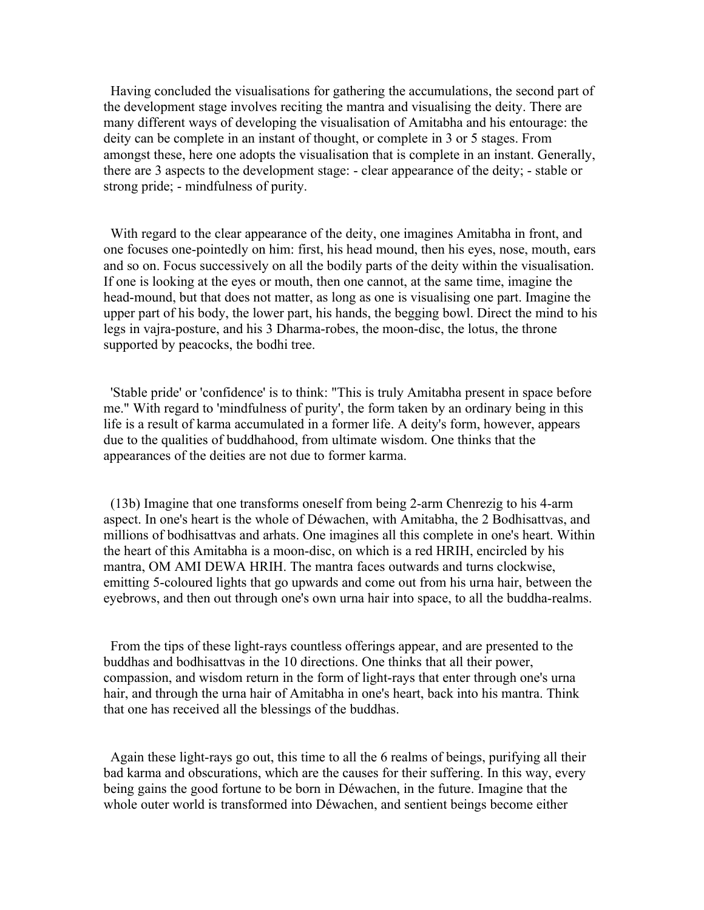Having concluded the visualisations for gathering the accumulations, the second part of the development stage involves reciting the mantra and visualising the deity. There are many different ways of developing the visualisation of Amitabha and his entourage: the deity can be complete in an instant of thought, or complete in 3 or 5 stages. From amongst these, here one adopts the visualisation that is complete in an instant. Generally, there are 3 aspects to the development stage: - clear appearance of the deity; - stable or strong pride; - mindfulness of purity.

 With regard to the clear appearance of the deity, one imagines Amitabha in front, and one focuses one-pointedly on him: first, his head mound, then his eyes, nose, mouth, ears and so on. Focus successively on all the bodily parts of the deity within the visualisation. If one is looking at the eyes or mouth, then one cannot, at the same time, imagine the head-mound, but that does not matter, as long as one is visualising one part. Imagine the upper part of his body, the lower part, his hands, the begging bowl. Direct the mind to his legs in vajra-posture, and his 3 Dharma-robes, the moon-disc, the lotus, the throne supported by peacocks, the bodhi tree.

 'Stable pride' or 'confidence' is to think: "This is truly Amitabha present in space before me." With regard to 'mindfulness of purity', the form taken by an ordinary being in this life is a result of karma accumulated in a former life. A deity's form, however, appears due to the qualities of buddhahood, from ultimate wisdom. One thinks that the appearances of the deities are not due to former karma.

 (13b) Imagine that one transforms oneself from being 2-arm Chenrezig to his 4-arm aspect. In one's heart is the whole of Déwachen, with Amitabha, the 2 Bodhisattvas, and millions of bodhisattvas and arhats. One imagines all this complete in one's heart. Within the heart of this Amitabha is a moon-disc, on which is a red HRIH, encircled by his mantra, OM AMI DEWA HRIH. The mantra faces outwards and turns clockwise, emitting 5-coloured lights that go upwards and come out from his urna hair, between the eyebrows, and then out through one's own urna hair into space, to all the buddha-realms.

 From the tips of these light-rays countless offerings appear, and are presented to the buddhas and bodhisattvas in the 10 directions. One thinks that all their power, compassion, and wisdom return in the form of light-rays that enter through one's urna hair, and through the urna hair of Amitabha in one's heart, back into his mantra. Think that one has received all the blessings of the buddhas.

 Again these light-rays go out, this time to all the 6 realms of beings, purifying all their bad karma and obscurations, which are the causes for their suffering. In this way, every being gains the good fortune to be born in Déwachen, in the future. Imagine that the whole outer world is transformed into Déwachen, and sentient beings become either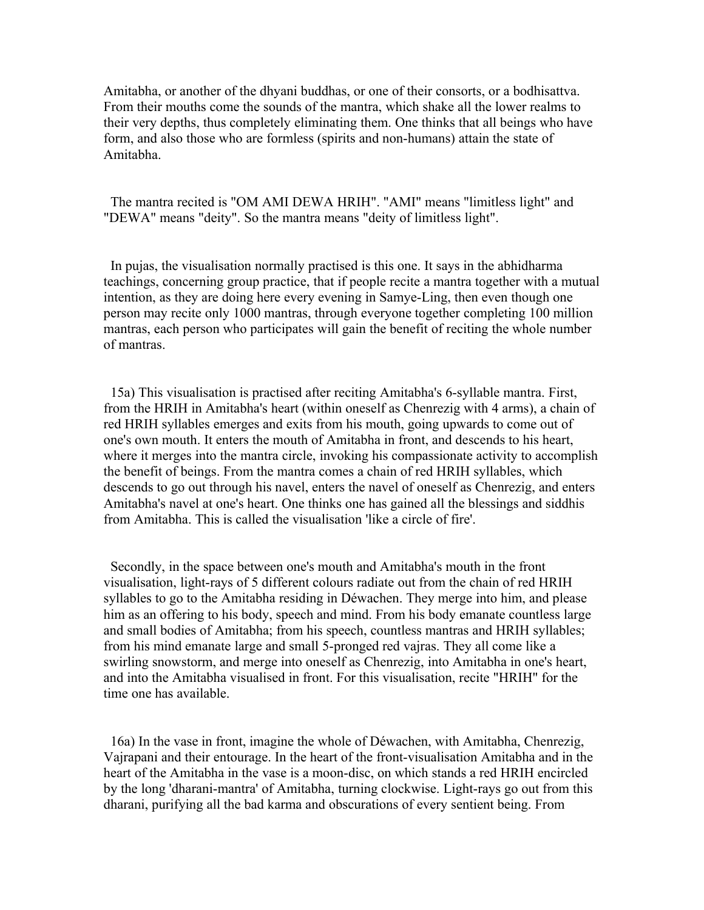Amitabha, or another of the dhyani buddhas, or one of their consorts, or a bodhisattva. From their mouths come the sounds of the mantra, which shake all the lower realms to their very depths, thus completely eliminating them. One thinks that all beings who have form, and also those who are formless (spirits and non-humans) attain the state of Amitabha.

 The mantra recited is "OM AMI DEWA HRIH". "AMI" means "limitless light" and "DEWA" means "deity". So the mantra means "deity of limitless light".

 In pujas, the visualisation normally practised is this one. It says in the abhidharma teachings, concerning group practice, that if people recite a mantra together with a mutual intention, as they are doing here every evening in Samye-Ling, then even though one person may recite only 1000 mantras, through everyone together completing 100 million mantras, each person who participates will gain the benefit of reciting the whole number of mantras.

 15a) This visualisation is practised after reciting Amitabha's 6-syllable mantra. First, from the HRIH in Amitabha's heart (within oneself as Chenrezig with 4 arms), a chain of red HRIH syllables emerges and exits from his mouth, going upwards to come out of one's own mouth. It enters the mouth of Amitabha in front, and descends to his heart, where it merges into the mantra circle, invoking his compassionate activity to accomplish the benefit of beings. From the mantra comes a chain of red HRIH syllables, which descends to go out through his navel, enters the navel of oneself as Chenrezig, and enters Amitabha's navel at one's heart. One thinks one has gained all the blessings and siddhis from Amitabha. This is called the visualisation 'like a circle of fire'.

 Secondly, in the space between one's mouth and Amitabha's mouth in the front visualisation, light-rays of 5 different colours radiate out from the chain of red HRIH syllables to go to the Amitabha residing in Déwachen. They merge into him, and please him as an offering to his body, speech and mind. From his body emanate countless large and small bodies of Amitabha; from his speech, countless mantras and HRIH syllables; from his mind emanate large and small 5-pronged red vajras. They all come like a swirling snowstorm, and merge into oneself as Chenrezig, into Amitabha in one's heart, and into the Amitabha visualised in front. For this visualisation, recite "HRIH" for the time one has available.

 16a) In the vase in front, imagine the whole of Déwachen, with Amitabha, Chenrezig, Vajrapani and their entourage. In the heart of the front-visualisation Amitabha and in the heart of the Amitabha in the vase is a moon-disc, on which stands a red HRIH encircled by the long 'dharani-mantra' of Amitabha, turning clockwise. Light-rays go out from this dharani, purifying all the bad karma and obscurations of every sentient being. From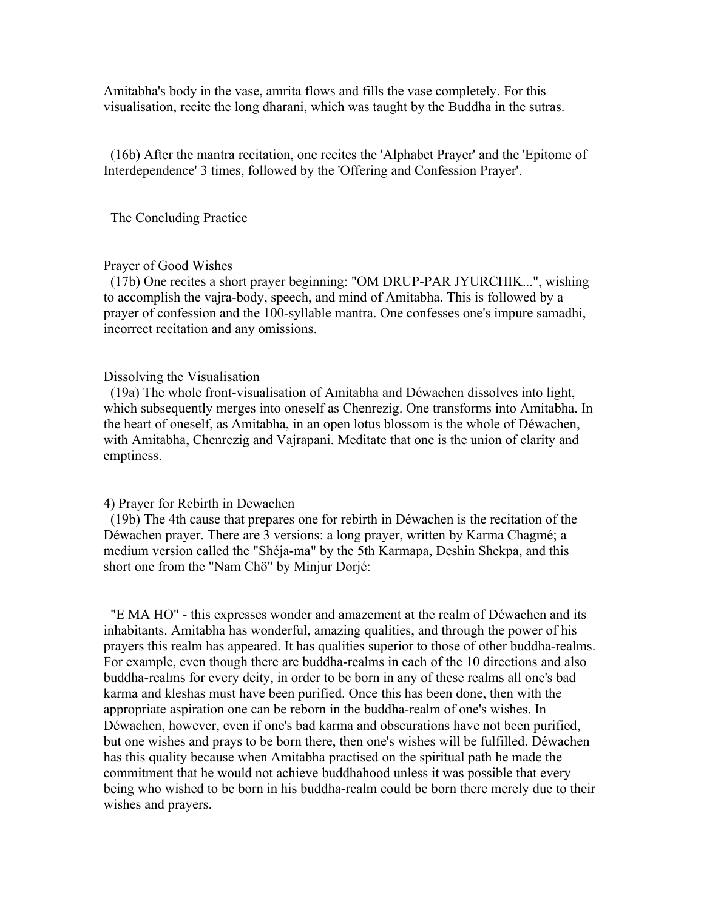Amitabha's body in the vase, amrita flows and fills the vase completely. For this visualisation, recite the long dharani, which was taught by the Buddha in the sutras.

 (16b) After the mantra recitation, one recites the 'Alphabet Prayer' and the 'Epitome of Interdependence' 3 times, followed by the 'Offering and Confession Prayer'.

The Concluding Practice

# Prayer of Good Wishes

 (17b) One recites a short prayer beginning: "OM DRUP-PAR JYURCHIK...", wishing to accomplish the vajra-body, speech, and mind of Amitabha. This is followed by a prayer of confession and the 100-syllable mantra. One confesses one's impure samadhi, incorrect recitation and any omissions.

#### Dissolving the Visualisation

 (19a) The whole front-visualisation of Amitabha and Déwachen dissolves into light, which subsequently merges into oneself as Chenrezig. One transforms into Amitabha. In the heart of oneself, as Amitabha, in an open lotus blossom is the whole of Déwachen, with Amitabha, Chenrezig and Vajrapani. Meditate that one is the union of clarity and emptiness.

#### 4) Prayer for Rebirth in Dewachen

 (19b) The 4th cause that prepares one for rebirth in Déwachen is the recitation of the Déwachen prayer. There are 3 versions: a long prayer, written by Karma Chagmé; a medium version called the "Shéja-ma" by the 5th Karmapa, Deshin Shekpa, and this short one from the "Nam Chö" by Minjur Dorjé:

 "E MA HO" - this expresses wonder and amazement at the realm of Déwachen and its inhabitants. Amitabha has wonderful, amazing qualities, and through the power of his prayers this realm has appeared. It has qualities superior to those of other buddha-realms. For example, even though there are buddha-realms in each of the 10 directions and also buddha-realms for every deity, in order to be born in any of these realms all one's bad karma and kleshas must have been purified. Once this has been done, then with the appropriate aspiration one can be reborn in the buddha-realm of one's wishes. In Déwachen, however, even if one's bad karma and obscurations have not been purified, but one wishes and prays to be born there, then one's wishes will be fulfilled. Déwachen has this quality because when Amitabha practised on the spiritual path he made the commitment that he would not achieve buddhahood unless it was possible that every being who wished to be born in his buddha-realm could be born there merely due to their wishes and prayers.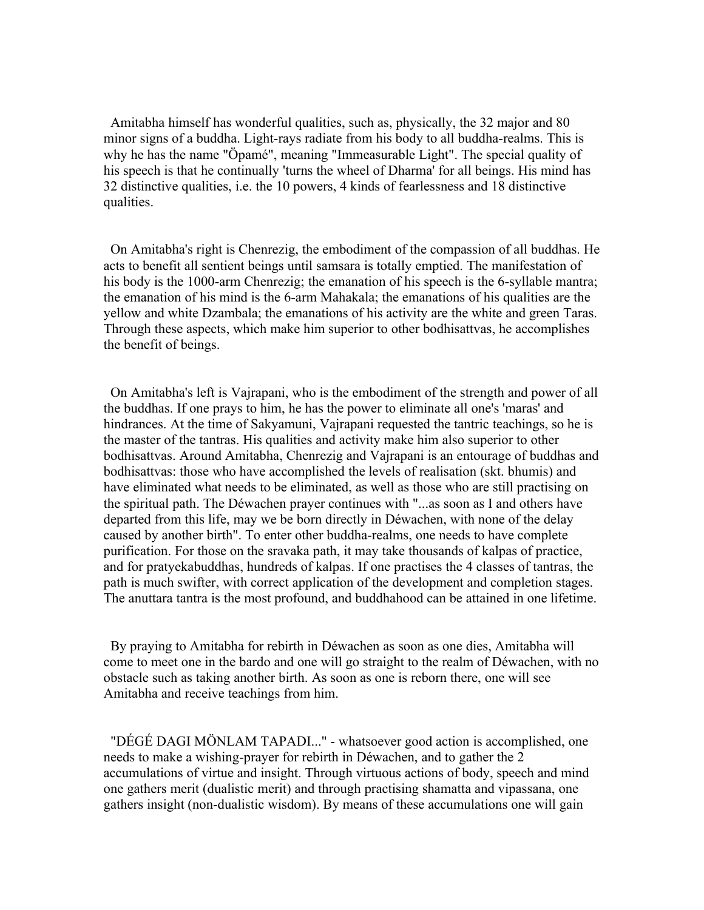Amitabha himself has wonderful qualities, such as, physically, the 32 major and 80 minor signs of a buddha. Light-rays radiate from his body to all buddha-realms. This is why he has the name "Öpamé", meaning "Immeasurable Light". The special quality of his speech is that he continually 'turns the wheel of Dharma' for all beings. His mind has 32 distinctive qualities, i.e. the 10 powers, 4 kinds of fearlessness and 18 distinctive qualities.

 On Amitabha's right is Chenrezig, the embodiment of the compassion of all buddhas. He acts to benefit all sentient beings until samsara is totally emptied. The manifestation of his body is the 1000-arm Chenrezig; the emanation of his speech is the 6-syllable mantra; the emanation of his mind is the 6-arm Mahakala; the emanations of his qualities are the yellow and white Dzambala; the emanations of his activity are the white and green Taras. Through these aspects, which make him superior to other bodhisattvas, he accomplishes the benefit of beings.

 On Amitabha's left is Vajrapani, who is the embodiment of the strength and power of all the buddhas. If one prays to him, he has the power to eliminate all one's 'maras' and hindrances. At the time of Sakyamuni, Vajrapani requested the tantric teachings, so he is the master of the tantras. His qualities and activity make him also superior to other bodhisattvas. Around Amitabha, Chenrezig and Vajrapani is an entourage of buddhas and bodhisattvas: those who have accomplished the levels of realisation (skt. bhumis) and have eliminated what needs to be eliminated, as well as those who are still practising on the spiritual path. The Déwachen prayer continues with "...as soon as I and others have departed from this life, may we be born directly in Déwachen, with none of the delay caused by another birth". To enter other buddha-realms, one needs to have complete purification. For those on the sravaka path, it may take thousands of kalpas of practice, and for pratyekabuddhas, hundreds of kalpas. If one practises the 4 classes of tantras, the path is much swifter, with correct application of the development and completion stages. The anuttara tantra is the most profound, and buddhahood can be attained in one lifetime.

 By praying to Amitabha for rebirth in Déwachen as soon as one dies, Amitabha will come to meet one in the bardo and one will go straight to the realm of Déwachen, with no obstacle such as taking another birth. As soon as one is reborn there, one will see Amitabha and receive teachings from him.

 "DÉGÉ DAGI MÖNLAM TAPADI..." - whatsoever good action is accomplished, one needs to make a wishing-prayer for rebirth in Déwachen, and to gather the 2 accumulations of virtue and insight. Through virtuous actions of body, speech and mind one gathers merit (dualistic merit) and through practising shamatta and vipassana, one gathers insight (non-dualistic wisdom). By means of these accumulations one will gain